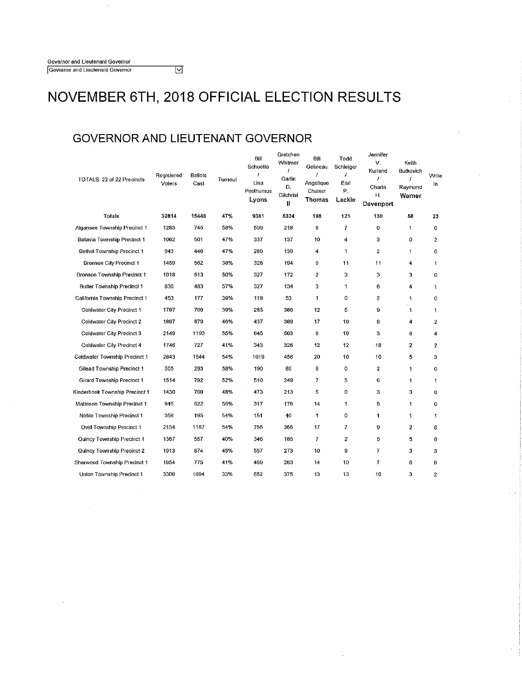### **GOVERNOR AND LIEUTENANT GOVERNOR**

 $\overline{\mathbb{M}}$ 

| TOTALS: 22 of 22 Precincts         | Registered<br>Voters | Ballots<br>Cast | Turnout | Bill<br>Schuette<br>1<br>Lisa<br>Posthumus<br>Lyons | Gretchen<br>Whitmer<br>I<br>Garlin<br>Đ.<br>Gilchrist<br>Ħ | Bill<br>Gelineau<br>J<br>Angelique<br>Chaiser<br>Thomas | Todd<br>Schleiger<br>1<br>Earl<br>Р.<br>Lackie | Jennifer<br>v.<br>Kurland<br>I<br>Charin<br>Η.<br>Davenport | Keith<br>Butkovich<br>I<br>Raymond<br>Warner | Write<br>In             |
|------------------------------------|----------------------|-----------------|---------|-----------------------------------------------------|------------------------------------------------------------|---------------------------------------------------------|------------------------------------------------|-------------------------------------------------------------|----------------------------------------------|-------------------------|
| Totals                             | 32814                | 15448           | 47%     | 9381                                                | 5324                                                       | 198                                                     | 121                                            | 130                                                         | 58                                           | 23                      |
| Algansee Township Precinct 1       | 1283                 | 745             | 58%     | 509                                                 | 218                                                        | 6                                                       | $\overline{I}$                                 | 0                                                           | 1                                            | 0                       |
| Batavia Township Precinct 1        | 1062                 | 501             | 47%     | 337                                                 | 137                                                        | 10                                                      | 4                                              | 3                                                           | 0                                            | $\overline{2}$          |
| Bethel Township Precinct 1         | 943                  | 446             | 47%     | 289                                                 | 139                                                        | 4                                                       | $\mathbf 1$                                    | $\overline{2}$                                              | 1                                            | 0                       |
| <b>Bronson City Precinct 1</b>     | 1459                 | 562             | 38%     | 326                                                 | 194                                                        | 9                                                       | 11                                             | 11                                                          | 4                                            | $\mathbf{1}$            |
| <b>Bronson Township Precinct 1</b> | 1018                 | 513             | 50%     | 327                                                 | 172                                                        | $\boldsymbol{2}$                                        | з                                              | 3                                                           | 3                                            | 0                       |
| Butler Township Precinct 1         | 836                  | 483             | 57%     | 327                                                 | 134                                                        | 3                                                       | 1                                              | 6                                                           | 4                                            | $\mathbf{1}$            |
| California Township Precinct 1     | 453                  | 177             | 39%     | 119                                                 | 53                                                         | 1                                                       | 0                                              | $\overline{c}$                                              | 1                                            | $\circ$                 |
| Coldwater City Precinct 1          | 1797                 | 709             | 39%     | 283                                                 | 386                                                        | 12                                                      | 5                                              | 9                                                           | $\ddagger$                                   | $\mathbf{1}$            |
| Coldwater City Precinct 2          | 1897                 | 879             | 46%     | 437                                                 | 389                                                        | 17                                                      | 10                                             | 8                                                           | 4                                            | $\overline{\mathbf{2}}$ |
| Coldwater City Precinct 3          | 2149                 | 1193            | 55%     | 645                                                 | 503                                                        | 6                                                       | 10                                             | 3                                                           | 6                                            | 4                       |
| Coldwater City Precinct 4          | 1746                 | 727             | 41%     | 343                                                 | 326                                                        | 12                                                      | 12                                             | 18                                                          | $\overline{\mathbf{2}}$                      | $\mathbf{z}$            |
| Coldwater Township Precinct 1      | 2843                 | 1544            | 54%     | 1019                                                | 456                                                        | 20                                                      | 10                                             | 10                                                          | 5                                            | 3                       |
| Gilead Township Precinct 1         | 505                  | 293             | 58%     | 190                                                 | 86                                                         | 8                                                       | $\circ$                                        | $\mathbf{2}$                                                | 1                                            | 0                       |
| Girard Township Precinct 1         | 1514                 | 792             | 52%     | 510                                                 | 249                                                        | 7                                                       | 5                                              | 6                                                           | 1                                            | $\mathbf{1}$            |
| Kinderhook Township Precinct 1     | 1430                 | 700             | 48%     | 473                                                 | 213                                                        | 5                                                       | o                                              | 3                                                           | 3                                            | 0                       |
| Matteson Township Precinct 1       | 945                  | 522             | 55%     | 317                                                 | 178                                                        | 14                                                      | 1                                              | 5                                                           | 1                                            | 0                       |
| Noble Township Precinct 1          | 358                  | 195             | 54%     | 151                                                 | 40                                                         | 1                                                       | 0                                              | $\mathbf{1}$                                                | 1                                            | 1                       |
| Ovid Township Precinct 1           | 2134                 | 1167            | 54%     | 755                                                 | 355                                                        | 17                                                      | 7                                              | 9                                                           | $\mathbf{2}$                                 | 0                       |
| Quincy Township Precinct 1         | 1367                 | 557             | 40%     | 346                                                 | 185                                                        | 7                                                       | $\mathbf{2}$                                   | 5                                                           | 5                                            | 0                       |
| Quincy Township Precinct 2         | 1913                 | 874             | 45%     | 557                                                 | 273                                                        | 10                                                      | 9                                              | 7                                                           | 3                                            | 3                       |
| Sherwood Township Precinct 1       | 1854                 | 775             | 41%     | 469                                                 | 263                                                        | 14                                                      | 10                                             | 7                                                           | 6                                            | O                       |
| Union Township Precinct 1          | 3308                 | 1094            | 33%     | 652                                                 | 375                                                        | 13                                                      | 13                                             | 10                                                          | 3                                            | $\overline{c}$          |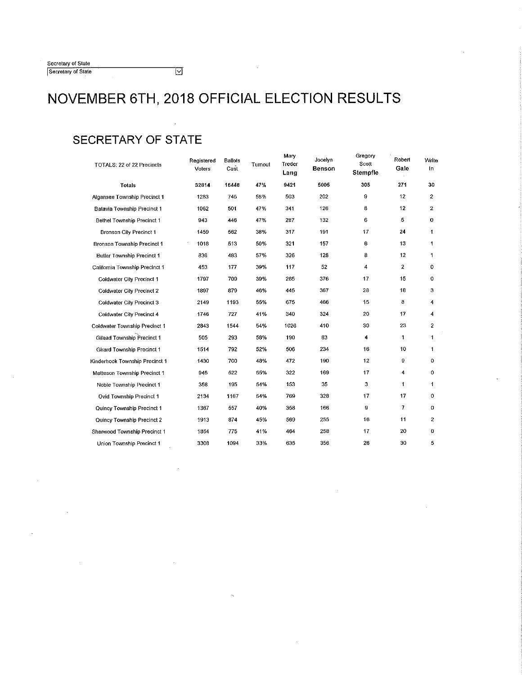| Secretary of State |  |
|--------------------|--|
| Secretary of State |  |

### **SECRETARY OF STATE**

| TOTALS: 22 of 22 Precincts        | Registered<br>Voters | <b>Ballots</b><br>Cast | Turnout | Mary<br>Treder<br>Lang | Jocelyn<br>Benson | Gregory<br>Scott<br>Stempfle | Robert<br>Gale | Write<br>In.   |
|-----------------------------------|----------------------|------------------------|---------|------------------------|-------------------|------------------------------|----------------|----------------|
| Totals                            | 32814                | 15448                  | 47%     | 9421                   | 5005              | 305                          | 271            | 30             |
| Algansee Township Precinct 1      | 1283                 | 745                    | 58%     | 503                    | 202               | e                            | 12             | $\overline{2}$ |
| Batavia Township Precinct 1       | 1062                 | 501                    | 47%     | 341                    | 126               | 8                            | 12             | $\overline{2}$ |
| Bethel Township Precinct 1        | 943                  | 446                    | 47%     | 287                    | 132               | 6                            | 5              | 0              |
| Bronson City Precinct 1           | 1459                 | 562                    | 38%     | 317                    | 191               | 17                           | 24             | 1              |
| Bronson Township Precinct 1       | 1018                 | 513                    | 50%     | 321                    | 157               | 6                            | 13             | 1              |
| <b>Butler Township Precinct 1</b> | 836                  | 483                    | 57%     | 326                    | 128               | 8                            | 12             | 1              |
| California Township Precinct 1    | 453                  | 177                    | 39%     | 117                    | 52                | 4                            | 2              | 0              |
| Coldwater City Precinct 1         | 1797                 | 709                    | 39%     | 285                    | 376               | 17                           | 15             | 0              |
| Coldwater City Precinct 2         | 1897                 | 879                    | 46%     | 445                    | 367               | 28                           | 18             | з              |
| Coldwater City Precinct 3         | 2149                 | 1193                   | 55%     | 675                    | 466               | 15                           | 8              | 4              |
| Coldwater City Precinct 4         | 1746                 | 727                    | 41%     | 340                    | 324               | 20                           | 17             | 4              |
| Coldwater Township Precinct 1     | 2843                 | 1544                   | 54%     | 1026                   | 410               | 30                           | 23             | 2              |
| Gilead Township Precinct 1        | 505                  | 293                    | 58%     | 190                    | 83                | 4                            | 1              | 1              |
| Girard Township Precinct 1        | 1514                 | 792                    | 52%     | 506                    | 234               | 16                           | 10             | 1              |
| Kinderhook Township Precinct 1    | 1430                 | 700                    | 48%     | 472                    | 190               | 12                           | 9              | 0              |
| Matteson Township Precinct 1      | 945                  | 522                    | 55%     | 322                    | 169               | 17                           | 4              | 0              |
| Noble Township Precinct 1         | 358                  | 195                    | 54%     | 153                    | 35                | з                            | $\mathbf{1}$   | 1              |
| Ovid Township Precinct 1          | 2134                 | 1167                   | 54%     | 769                    | 328               | 17                           | 17             | 0              |
| Quincy Township Precinct 1        | 1367                 | 557                    | 40%     | 358                    | 166               | 9                            | 7              | 0              |
| Quincy Township Precinct 2        | 1913                 | 874                    | 45%     | 569                    | 255               | 16                           | 11             | 2              |
| Sherwood Township Precinct 1      | 1854                 | 775                    | 41%     | 464                    | 258               | 17                           | 20             | 0              |
| Union Township Precinct 1         | 3308                 | 1094                   | 33%     | 635                    | 356               | 26                           | 30             | 5              |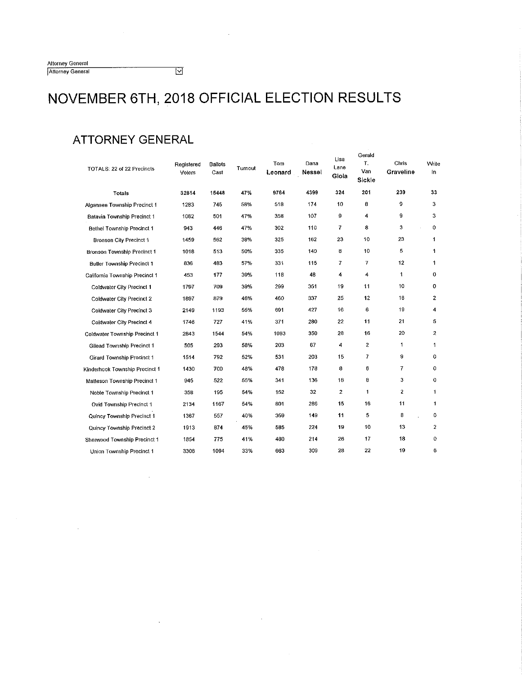| <b>Altorney General</b> |  |
|-------------------------|--|
| Attorney General        |  |

 $\overline{\boxtimes}$ 

### **ATTORNEY GENERAL**

 $\bar{z}$ 

 $\hat{\phi}$ 

| TOTALS: 22 of 22 Precincts        | Registered<br>Voters | <b>Ballots</b><br>Cast | Turnout | Tom<br>Leonard | Dana<br>Nessel | Lisa<br>Lane<br>Gioia | Gerald<br>T.<br>Van<br><b>Sickle</b> | Chris<br>Graveline | Write<br>In.      |
|-----------------------------------|----------------------|------------------------|---------|----------------|----------------|-----------------------|--------------------------------------|--------------------|-------------------|
| Totals                            | 32814                | 15448                  | 47%     | 9764           | 4399           | 324                   | 201                                  | 239                | 33                |
| Algansee Township Precinct 1      | 1283                 | 745                    | 58%     | 518            | 174            | 10                    | 8                                    | 9                  | 3                 |
| Batavia Township Precinct 1       | 1062                 | 501                    | 47%     | 358            | 107            | 9                     | 4                                    | 9                  | з                 |
| <b>Bethel Township Precinct 1</b> | 943                  | 446                    | 47%     | 302            | 110            | 7                     | 8                                    | 3                  | 0<br>$\mathbf{r}$ |
| Bronson City Precinct 1           | 1459                 | 562                    | 38%     | 325            | 162            | 23                    | 10                                   | 23                 | 1                 |
| Bronson Township Precinct 1       | 1018                 | 513                    | 50%     | 335            | 140            | 8                     | 10                                   | 5                  | 1                 |
| <b>Butler Township Precinct 1</b> | 336                  | 483                    | 57%     | 331            | 115            | 7                     | $\overline{7}$                       | 12                 | 1                 |
| California Township Precinct 1    | 453                  | 177                    | 39%     | 118            | 48             | 4                     | 4                                    | 1                  | 0                 |
| Coldwater City Precinct 1         | 1797                 | 709                    | 39%     | 299            | 351            | 19                    | 11                                   | 10                 | 0                 |
| Coldwater City Precinct 2         | 1897                 | 879                    | 46%     | 460            | 337            | 25                    | 12                                   | 16                 | 2                 |
| Coldwater City Precinct 3         | 2149                 | 1193                   | 55%     | 691            | 427            | 16                    | 6                                    | 19                 | 4                 |
| Coldwater City Precinct 4         | 1746                 | 727                    | 41%     | 371            | 280            | 22                    | 11                                   | 21                 | 5                 |
| Coldwater Township Precinct 1     | 2843                 | 1544                   | 54%     | 1063           | 350            | 28                    | 16                                   | 20                 | $\mathbf{2}$      |
| Gilead Township Precinct 1        | 505                  | 293                    | 58%     | 203            | 67             | 4                     | $\boldsymbol{2}$                     | 1                  | 1                 |
| <b>Girard Township Precinct 1</b> | 1514                 | 792                    | 52%     | 531            | 203            | 15                    | 7                                    | 9                  | 0                 |
| Kinderhook Township Precinct 1    | 1430                 | 700                    | 48%     | 478            | 178            | 8                     | 6                                    | 7                  | 0                 |
| Matteson Township Precinct 1      | 945                  | 522                    | 55%     | 341            | 136            | 18                    | 8                                    | 3                  | 0                 |
| Noble Township Precinct 1         | 358                  | 195                    | 54%     | 152            | 32             | $\overline{c}$        | 1                                    | 2                  | 1                 |
| Ovid Township Precinct 1          | 2134                 | 1167                   | 54%     | 801            | 286            | 15                    | 16                                   | 11                 | 1                 |
| Quincy Township Precinct 1        | 1367                 | 557                    | 40%     | 359            | 149            | 11                    | 5                                    | 8                  | 0                 |
| Quincy Township Precinct 2        | 1913                 | 874                    | 45%     | 585            | 224            | 19                    | 10                                   | 13                 | $\overline{c}$    |
| Sherwood Township Precinct 1      | 1854                 | 775                    | 41%     | 480            | 214            | 26                    | 17                                   | 18                 | 0                 |
| Union Township Precinct 1         | 3308                 | 1094                   | 33%     | 663            | 309            | 28                    | 22                                   | 19                 | 6                 |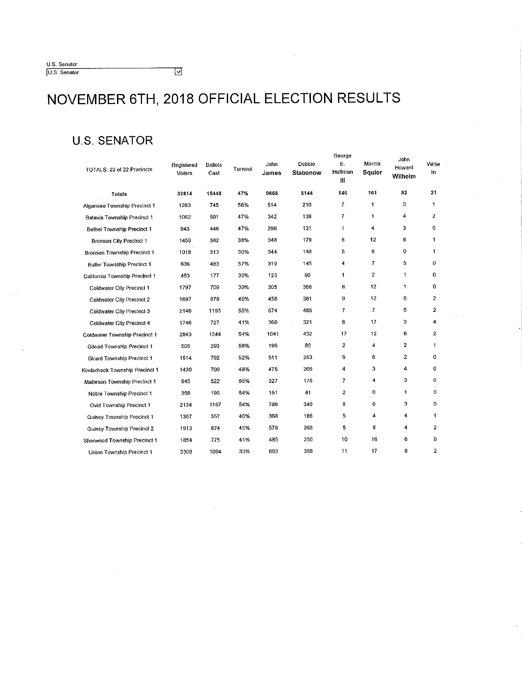| U.S. Senator |  |
|--------------|--|
| U.S. Senator |  |

 $\overline{\mathbb{M}}$ 

### **U.S. SENATOR**

| TOTALS: 22 of 22 Precincts        | Registered<br>Voters | <b>Ballots</b><br>Cast | Turnout | John<br>James | Debbie<br>Stabenow          | George<br>Ε.<br>Huffman<br>HI | Marcia<br>Squier | John<br>Howard<br>Wilhelm | Write<br>In    |
|-----------------------------------|----------------------|------------------------|---------|---------------|-----------------------------|-------------------------------|------------------|---------------------------|----------------|
| Totals                            | 32814                | 15448                  | 47%     | 9666          | 5144                        | 146                           | 161              | 82                        | 21             |
| Algansee Township Precinct 1      | 1283                 | 745                    | 58%     | 514           | 210                         | 7                             | 1                | 3                         | 1              |
| Batavia Township Precinct 1       | 1062                 | 501                    | 47%     | 342           | 138                         | 7                             | 1                | 4                         | $\overline{2}$ |
| Bethel Township Precinct 1        | 943                  | 446                    | 47%     | 298           | 131                         | 1                             | 4                | 3                         | 0              |
| Bronson City Precinct 1           | 1459                 | 562                    | 38%     | 348           | 179                         | 8                             | 12               | 8                         | 1              |
| Bronson Township Precinct 1       | 1018                 | 513                    | 50%     | 344           | 148                         | 8                             | 6                | 0                         | 1              |
| <b>Butler Township Precinct 1</b> | 836                  | 483                    | 57%     | 319           | 145                         | 4                             | 7                | 5                         | 0              |
| California Township Precinct 1    | 453                  | 177                    | 39%     | 123           | 50                          | 1                             | $\overline{c}$   | 1                         | O              |
| Coldwater City Precinct 1         | 1797                 | 709                    | 39%     | 305           | 368                         | 8                             | 12               | 1.                        | 0              |
| Coldwater City Precinct 2         | 1897                 | 879                    | 46%     | 458           | 381                         | 9                             | 12               | 6                         | 2              |
| Coldwater City Precinct 3         | 2149                 | 1193                   | 55%     | 674           | 486                         | 7                             | $\overline{7}$   | 5                         | $\overline{2}$ |
| Coldwater City Precinct 4         | 1746                 | 727                    | 41%     | 360           | 321<br>$\ddot{\phantom{a}}$ | 6                             | 17               | 3                         | 4              |
| Coldwater Township Precinct 1     | 2643                 | 1544                   | 54%     | 1041          | 432                         | 17                            | 12               | 6                         | 2              |
| Gilead Township Precinct 1        | 505                  | 293                    | 58%     | 196           | 80                          | $\overline{2}$                | 4                | $\mathbf{z}$              | 1              |
| Girard Township Precinct 1        | 1514                 | 792                    | 52%     | 511           | 253                         | 9                             | 6                | $\boldsymbol{2}$          | 0              |
| Kinderhook Township Precinct 1    | 1430                 | 700                    | 48%     | 475           | 205                         | 4                             | 3                | 4                         | 0              |
| Matteson Township Precinct 1      | 945                  | 522                    | 55%     | 327           | 175                         | 7                             | 4                | 3                         | 0              |
| Noble Township Precinct 1         | 358                  | 195                    | 54%     | 151           | 41                          | $\overline{2}$                | 0                | $\mathbf{1}$              | 0              |
| Ovid Township Precinct 1          | 2134                 | 1167                   | 54%     | 786           | 349                         | 8                             | 6                | 3                         | 0              |
| Quincy Township Precinct 1        | 1367                 | 557                    | 40%     | 368           | 166                         | 5                             | 4                | 4                         | 1              |
| Quincy Township Precinct 2        | 1913                 | 874                    | 45%     | 578           | 268                         | 5                             | 8                | 4                         | $\mathbf{2}$   |
| Sherwood Township Precinct 1      | 1854                 | 775                    | 41%     | 485           | 250                         | 10                            | 16               | 6                         | 0              |
| Union Township Precinct 1         | 3308                 | 1094                   | 33%     | 663           | 368                         | 11                            | 17               | 8                         | $\mathbf{2}$   |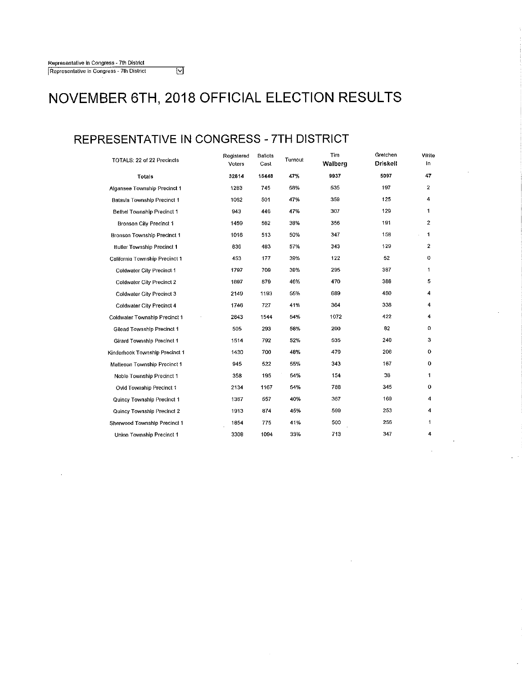### **REPRESENTATIVE IN CONGRESS** - **7TH DISTRICT**

| TOTALS: 22 of 22 Precincts        | Registered<br>Voters | Ballots<br>Cast | Turnout | Tim<br>Walberg | Gretchen<br><b>Driskell</b> | Write<br>In. |
|-----------------------------------|----------------------|-----------------|---------|----------------|-----------------------------|--------------|
| <b>Totals</b>                     | 32814                | 15448           | 47%     | 9937           | 5097                        | 47           |
| Algansee Township Precinct 1      | 1283                 | 745             | 58%     | 535            | 197                         | 2            |
| Batavia Township Precinct 1       | 1062                 | 501             | 47%     | 359            | 125                         | 4            |
| Bethel Township Precinct 1        | 943                  | 446             | 47%     | 307            | 129                         | 1            |
| Bronson City Precinct 1           | 1459                 | 562             | 38%     | 356            | 191                         | $\mathbf{2}$ |
| Bronson Township Precinct 1       | 1018                 | 513             | 50%     | 347            | 158                         | 1            |
| Butter Township Precinct 1        | 836                  | 483             | 57%     | 343            | 129                         | $\mathbf{2}$ |
| California Township Precinct 1    | 453                  | 177             | 39%     | 122            | 52                          | 0            |
| Coldwater City Precinct 1         | 1797                 | 709             | 39%     | 295            | 387                         | 1            |
| Coldwater City Precinct 2         | 1897                 | 879             | 46%     | 470            | 386                         | 5            |
| Coldwater City Precinct 3         | 2149                 | 1193            | 65%     | 689            | 480                         | 4            |
| Coldwater City Precinct 4         | 1746                 | 727             | 41%     | 364            | 338                         | 4            |
| Coldwater Township Precinct 1     | 2843                 | 1544            | 54%     | 1072           | 422                         | 4            |
| Gilead Township Precinct 1        | 505                  | 293             | 58%     | 200            | 82                          | 0            |
| <b>Girard Township Precinct 1</b> | 1514                 | 792             | 52%     | 535            | 240                         | 3            |
| Kinderhook Township Precinct 1    | 1430                 | 700             | 48%     | 479            | 206                         | o            |
| Matteson Township Precinct 1      | 945                  | 522             | 55%     | 343            | 167                         | 0            |
| Noble Township Precinct 1         | 358                  | 195             | 54%     | 154            | 38                          | 1            |
| <b>Ovid Township Precinct 1</b>   | 2134                 | 1167            | 54%     | 788            | 345                         | 0            |
| Quincy Township Precinct 1        | 1367                 | 557             | 40%     | 367            | 169                         | 4            |
| Quincy Township Precinct 2        | 1913                 | 874             | 45%     | 599            | 253                         | 4            |
| Sherwood Township Precinct 1      | 1854                 | 775             | 41%     | 500            | 256                         | 1            |
| Union Township Precinct 1         | 3308                 | 1094            | 33%     | 713            | 347                         | 4            |

 $\mathcal{A}$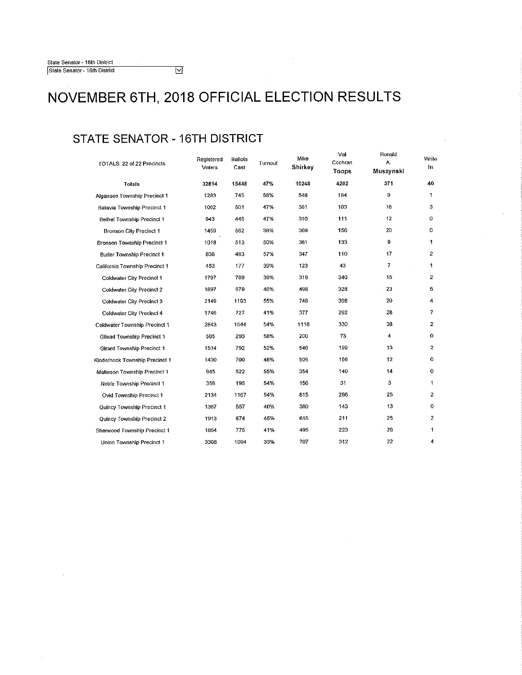### **STATE SENATOR -16TH DISTRICT**

| TOTALS: 22 of 22 Precincts     | Registered<br>Voters | <b>Ballots</b><br>Cast | Turnout | Mike<br>Shirkey | Val<br>Cochran<br>Toops | Ronald<br>Α.<br>Muszynski | Write<br>In             |
|--------------------------------|----------------------|------------------------|---------|-----------------|-------------------------|---------------------------|-------------------------|
| Totals                         | 32814                | 15448                  | 47%     | 10248           | 4282                    | 371                       | 40                      |
| Algansee Township Precinct 1   | 1283                 | 745                    | 58%     | 548             | 164                     | 9                         | 1                       |
| Batavia Township Precinct 1    | 1062                 | 501                    | 47%     | 361             | 103                     | 16                        | з                       |
| Bethel Township Precinct 1     | 943                  | 446                    | 47%     | 310             | 111                     | 12                        | 0                       |
| Bronson City Precinct 1        | 1459                 | 562                    | 38%     | 369             | 156                     | 20                        | 0                       |
| Bronson Township Precinct 1    | 1018                 | 513                    | 50%     | 361             | 133                     | 9                         | 1                       |
| Butler Township Precinct 1     | 836                  | 483                    | 57%     | 347             | 110                     | 17                        | $\mathbf{2}$            |
| California Township Precinct 1 | 453                  | 177                    | 39%     | 123             | 43                      | 7                         | 1                       |
| Coldwater City Precinct 1      | 1797                 | 709                    | 39%     | 319             | 340                     | 15                        | $\overline{2}$          |
| Coldwater City Precinct 2      | 1897                 | 879                    | 46%     | 498             | 328                     | 23                        | 5                       |
| Coldwater City Precinct 3      | 2149                 | 1193                   | 55%     | 746             | 398                     | 20                        | $\overline{4}$          |
| Coldwater City Precinct 4      | 1746                 | 727                    | 41%     | 377             | 292                     | 28                        | 7                       |
| Coldwater Township Precinct 1  | 2843                 | 1544                   | 54%     | 1116            | 330                     | 38                        | $\mathbf{2}$            |
| Gilead Township Precinct 1     | 505                  | 293                    | 58%     | 200             | 73                      | 4                         | 0                       |
| Girard Township Precinct 1     | 1514                 | 792                    | 52%     | 546             | 199                     | 13                        | $\boldsymbol{2}$        |
| Kinderhook Township Precinct 1 | 1430                 | 700                    | 48%     | 505             | 156                     | 12                        | 0                       |
| Matteson Township Precinct 1   | 945                  | 522                    | 55%     | 354             | 140                     | 14                        | $\circ$                 |
| Noble Township Precinct 1      | 358                  | 195                    | 54%     | 156             | 31                      | 3                         | 1                       |
| Ovid Township Precinct 1       | 2134                 | 1167                   | 54%     | 815             | 286                     | 25                        | $\overline{2}$          |
| Quincy Township Precinct 1     | 1367                 | 557                    | 40%     | 380             | 143                     | 13                        | 0                       |
| Quincy Township Precinct 2     | 1913                 | 874                    | 45%     | 615             | 211                     | 25                        | $\overline{\mathbf{c}}$ |
| Sherwood Township Precinct 1   | 1854                 | 775                    | 41%     | 495             | 223                     | 26                        | 1                       |
| Union Township Precinct 1      | 3308                 | 1094                   | 33%     | 707             | 312                     | 22                        | 4                       |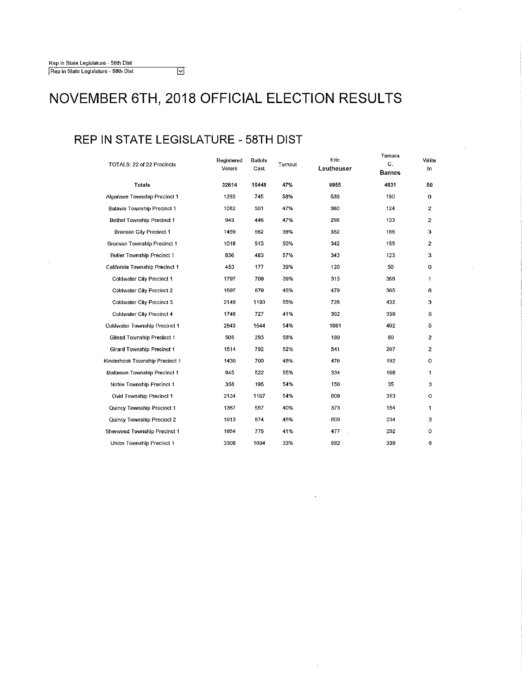### **REP IN STATE LEGISLATURE** - **58TH DIST**

 $\overline{\Xi}$ 

| TOTALS: 22 of 22 Precincts     | Registered<br>Voters | <b>Ballots</b><br>Cast | Turnout | Епс<br>Leutheuser | Tamara<br>C.<br><b>Barnes</b> | Write<br>In.   |
|--------------------------------|----------------------|------------------------|---------|-------------------|-------------------------------|----------------|
| Totals                         | 32814                | 15448                  | 47%     | 9955              | 4831                          | 50             |
| Algansee Township Precinct 1   | 1283                 | 745                    | 58%     | 539               | 180                           | 0              |
| Batavia Township Precinct 1    | 1062                 | 501                    | 47%     | 360               | 124                           | $\overline{2}$ |
| Bethel Township Precinct 1     | 943                  | 446                    | 47%     | 296               | 133                           | 2              |
| <b>Bronson City Precinct 1</b> | 1459                 | 562                    | 38%     | 352               | 186                           | 3              |
| Bronson Township Precinct 1    | 1018                 | 513                    | 50%     | 342               | 155                           | 2              |
| Butler Township Precinct 1     | 836                  | 483                    | 57%     | 343               | 123                           | 3              |
| California Township Precinct 1 | 453                  | 177                    | 39%     | 120               | 50                            | 0              |
| Coldwater City Precinct 1      | 1797                 | 709                    | 39%     | 313               | 368                           | 1              |
| Coldwater City Precinct 2      | 1897                 | 879                    | 46%     | 479               | 365                           | 6              |
| Coldwater City Precinct 3      | 2149                 | 1193                   | 55%     | 728               | 432                           | з              |
| Coldwater City Precinct 4      | 1746                 | 727                    | 41%     | 362               | 339                           | 5              |
| Coldwater Township Precinct 1  | 2843                 | 1544                   | 54%     | 1081              | 402                           | 5              |
| Gilead Township Precinct 1     | 505                  | 293                    | 58%     | 189               | 80                            | 2              |
| Girard Township Precinct 1     | 1514                 | 792                    | 52%     | 541               | 207                           | $\overline{2}$ |
| Kinderhook Township Precinct 1 | 1430                 | 700                    | 48%     | 476               | 192                           | $\circ$        |
| Matteson Township Precinct 1   | 945                  | 522                    | 55%     | 334               | 168                           | 1              |
| Noble Township Precinct 1      | 358                  | 195                    | 54%     | 150               | 35                            | з              |
| Ovid Township Precinct 1       | 2134                 | 1167                   | 54%     | 809               | 313                           | $\mathbf 0$    |
| Quincy Township Precinct 1     | 1367                 | 557                    | 40%     | 373               | 154                           | 1              |
| Quincy Township Precinct 2     | 1913                 | 874                    | 45%     | 609               | 234                           | з              |
| Sherwood Township Precinct 1   | 1854                 | 775                    | 41%     | 477               | 252                           | 0              |
| Union Township Precinct 1      | 3308                 | 1094                   | 33%     | 682               | 339                           | 6              |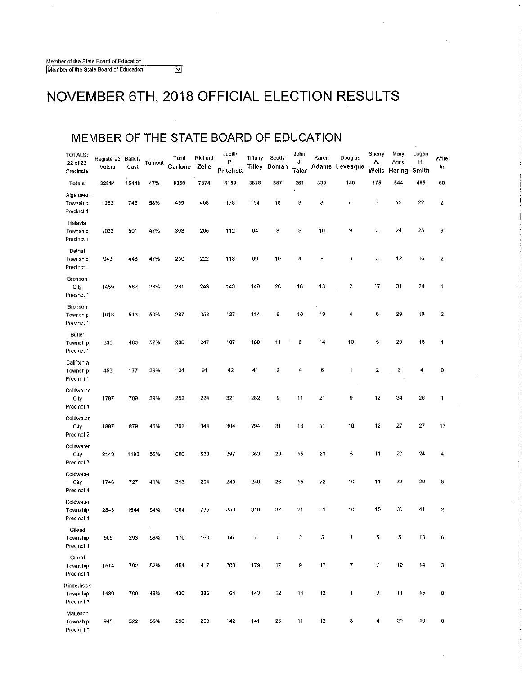Member of the Slate Board of Education Member of the State Board of Education

NOVEMBER 6TH, 2018 OFFICIAL ELECTION RESULTS

#### **MEMBER OF THE STATE BOARD OF EDUCATION**

 $\overline{\mathbb{Z}}$ 

| TOTALS:<br>22 of 22<br>Precincts     | Registered<br>Voters | Ballois<br>Cast | Turnout        | Tami<br>Carlone | Richard<br>Zeile | Judith<br>P.<br>Pritchett | Tiffany<br>Tilley | Scotty<br>Boman         | John<br>J.<br>Tatar | Karen<br>Adams | Douglas<br>Levesque | Sherry<br>Α.<br>Wells | Mary<br>Anne<br>Hering | Logan<br>R.<br>Smith | Write<br>In |
|--------------------------------------|----------------------|-----------------|----------------|-----------------|------------------|---------------------------|-------------------|-------------------------|---------------------|----------------|---------------------|-----------------------|------------------------|----------------------|-------------|
| Totals                               | 32814                | 15448           | 47%            | 8350            | 7374             | 4159                      | 3828              | 387                     | 261                 | 339            | 140                 | 175                   | 544                    | 485                  | 60          |
| Algansee<br>Township<br>Precinct 1   | 1283                 | 745             | 58%            | 455             | 408              | 178                       | 164               | 16                      | 9                   | 8              | 4                   | з                     | 12                     | 22                   | 2           |
| Batavia<br>Township<br>Precinct 1    | 1062                 | 501             | 47%            | 303             | 265              | 112                       | 94                | 8                       | 8                   | 10             | 9                   | з                     | 24                     | 25                   | 3           |
| Bethel<br>Township<br>Precinct 1     | 943                  | 446             | 47%            | 250             | 222              | 118                       | 90                | 10                      | 4                   | $\mathbf 9$    | 3                   | 3                     | 12                     | 16                   | 2           |
| Bronson<br>City<br>Precinct 1        | 1459                 | 562             | 38%            | 281             | 243              | 148                       | 149               | 26                      | 16                  | 13             | $\boldsymbol{2}$    | 17                    | 31                     | 24                   | 1           |
| Bronson<br>Township<br>Precinct 1    | 1018                 | 513             | 50%            | 287             | 252              | 127                       | 114               | 8                       | 10                  | 19             | 4                   | 6                     | 29                     | 19                   | 2           |
| Butler<br>Township<br>Precinct 1     | 836                  | 483             | 57%            | 280             | 247              | 107                       | 100               | 11                      | 6                   | 14             | 10                  | 5                     | 20                     | 18                   | 1           |
| California<br>Township<br>Precinct 1 | 453                  | 177             | 39%            | 104             | 91               | 42                        | 41                | $\overline{\mathbf{c}}$ | 4                   | 6              | 1                   | 2                     | 3                      | 4                    | 0           |
| Coldwater<br>City<br>Precinct 1      | 1797                 | 709             | 39%            | 252             | 224              | 321                       | 282               | 9                       | 11                  | 21             | 9                   | 12                    | 34                     | 26                   | 1           |
| Coldwater<br>City<br>Precinct 2      | 1897                 | 879             | 46%            | 392             | 344              | 304                       | 294               | 31                      | 18                  | 11             | 10                  | 12                    | 27                     | 27                   | 13          |
| Coldwater<br>City<br>Precinct 3      | 2149                 | 1193            | 55%            | 600             | 538              | 397                       | 363               | 23                      | 15                  | 20             | 5                   | 11                    | 29                     | 24                   | 4           |
| Coldwater<br>City<br>Precinct 4      | 1746                 | 727             | 41%            | 313             | 264              | 249                       | 240               | 26                      | 15                  | 22             | 10                  | 11                    | 33                     | 29                   | 8           |
| Coldwater<br>Township<br>Precinct 1  | 2843                 | 1544            | 54%            | 904             | 795              | 350                       | 318               | 32                      | 21                  | 31             | 16                  | 15                    | 60                     | 41                   | 2           |
| Gilead<br>Township<br>Precinct 1     | 505                  | 293             | $\cdot$<br>58% | 176             | 160              | 65                        | 60                | 5                       | $\bf 2$             | 5              | $\ddot{\mathbf{1}}$ | 5                     | 5                      | 13                   | 6           |
| Girard<br>Township<br>Precinct 1     | 1514                 | 792             | 52%            | 454             | 417              | 208                       | 179               | 17                      | 9                   | 17             | $\overline{7}$      | 7                     | 19                     | 14                   | 3           |
| Kinderhook<br>Township<br>Precinct 1 | 1430                 | 700             | 48%            | 430             | 386              | 164                       | 143               | 12                      | 14                  | 12             | 1                   | 3                     | 11                     | 15                   | 0           |
| Matteson<br>Township<br>Precinct 1   | 945                  | 522             | 55%            | 290             | 250              | 142                       | 141               | 25                      | 11                  | 12             | 3                   | 4                     | 20                     | 19                   | 0           |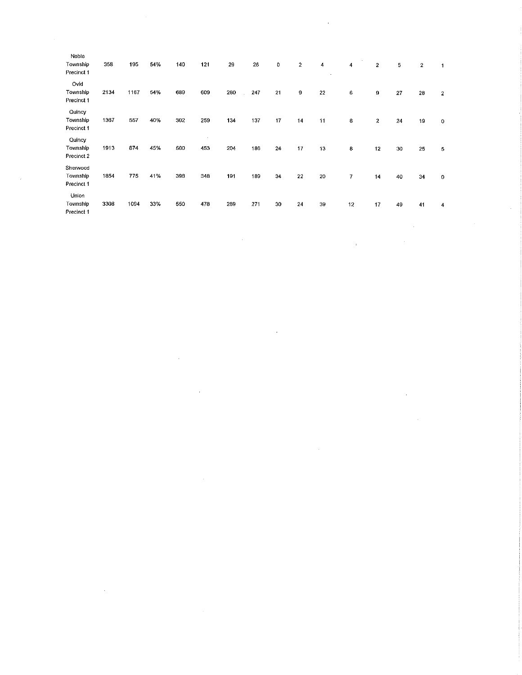| Noble<br>Township<br>Precinct 1    | 358  | 195  | 54% | 140 | 121           | 29  | 26  | 0      | $\boldsymbol{2}$ | 4<br>à, | 4                       | $\boldsymbol{2}$ | 5      | $\mathbf 2$ | $\mathbf{1}$ |            |
|------------------------------------|------|------|-----|-----|---------------|-----|-----|--------|------------------|---------|-------------------------|------------------|--------|-------------|--------------|------------|
| O /id<br>Township<br>Precinct 1    | 2134 | 1167 | 54% | 689 | 609           | 230 | 247 | 21     | 9                | 22      | 6                       | 9                | 27     | 28          | $\mathbf 2$  |            |
| Quincy<br>Township<br>Precinct 1   | 1367 | 557  | 40% | 302 | 259           | 134 | 137 | 17     | 14               | 11      | 8                       | $\bf 2$          | 24     | 19          | 0            |            |
| Quincy<br>Township<br>Precinct 2   | 1913 | 874  | 45% | 500 | $\sim$<br>453 | 204 | 186 | $24\,$ | 17               | 13      | 8                       | 12               | 30     | 25          | 5            |            |
| Sherwood<br>Township<br>Precinct 1 | 1854 | 775  | 41% | 398 | 348           | 191 | 189 | 34     | 22               | 20      | $\overline{\mathbf{r}}$ | 14               | 40     | 34          | $\pmb{0}$    |            |
| Union<br>Township<br>Precinct 1    | 3308 | 1094 | 33% | 550 | 478           | 289 | 271 | 30     | 24               | 39      | 12                      | 17               | 49     | 41          | 4            |            |
|                                    |      |      |     |     |               | ×   |     |        |                  |         | $\mathcal{C}$           |                  | $\sim$ |             |              | $\epsilon$ |
|                                    |      |      |     |     |               |     |     |        |                  |         |                         |                  |        |             |              |            |

 $\label{eq:2.1} \frac{1}{2} \sum_{i=1}^n \frac{1}{2} \sum_{j=1}^n \frac{1}{2} \sum_{j=1}^n \frac{1}{2} \sum_{j=1}^n \frac{1}{2} \sum_{j=1}^n \frac{1}{2} \sum_{j=1}^n \frac{1}{2} \sum_{j=1}^n \frac{1}{2} \sum_{j=1}^n \frac{1}{2} \sum_{j=1}^n \frac{1}{2} \sum_{j=1}^n \frac{1}{2} \sum_{j=1}^n \frac{1}{2} \sum_{j=1}^n \frac{1}{2} \sum_{j=1}^n \frac{$ 

 $\mathcal{L}^{\mathcal{L}}(\mathcal{L}^{\mathcal{L}})$  . The set of  $\mathcal{L}^{\mathcal{L}}(\mathcal{L}^{\mathcal{L}})$ 

 $\label{eq:2.1} \mathcal{L}(\mathcal{L}^{\mathcal{L}}_{\mathcal{L}}(\mathcal{L}^{\mathcal{L}}_{\mathcal{L}})) \leq \mathcal{L}(\mathcal{L}^{\mathcal{L}}_{\mathcal{L}}(\mathcal{L}^{\mathcal{L}}_{\mathcal{L}})) \leq \mathcal{L}(\mathcal{L}^{\mathcal{L}}_{\mathcal{L}}(\mathcal{L}^{\mathcal{L}}_{\mathcal{L}}))$ 

 $\sim 40$ 

 $\label{eq:2.1} \frac{1}{\sqrt{2}}\left(\frac{1}{\sqrt{2}}\right)^{2} \left(\frac{1}{\sqrt{2}}\right)^{2} \left(\frac{1}{\sqrt{2}}\right)^{2} \left(\frac{1}{\sqrt{2}}\right)^{2} \left(\frac{1}{\sqrt{2}}\right)^{2} \left(\frac{1}{\sqrt{2}}\right)^{2} \left(\frac{1}{\sqrt{2}}\right)^{2} \left(\frac{1}{\sqrt{2}}\right)^{2} \left(\frac{1}{\sqrt{2}}\right)^{2} \left(\frac{1}{\sqrt{2}}\right)^{2} \left(\frac{1}{\sqrt{2}}\right)^{2} \left(\$ 

 $\mathcal{L}(\mathcal{L}^{\mathcal{L}})$  and  $\mathcal{L}^{\mathcal{L}}$  and  $\mathcal{L}^{\mathcal{L}}$  and  $\mathcal{L}^{\mathcal{L}}$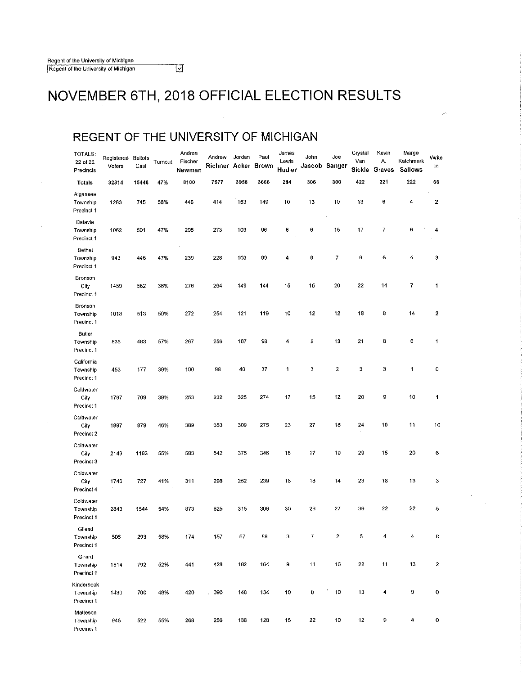#### **REGENT OF THE UNIVERSITY OF MICHIGAN**

 $\overline{\Xi}$ 

| TOTALS:<br>22 of 22<br>Precincts     | Registered<br>Voters | Ballots<br>Cast | Turnout | Andrea<br>Fischer<br>Newman | Andrew<br>Richner | Jordan<br>Acker | Paul<br>Brown | James<br>Lewis<br>Hudler | John<br>Jascob   | Joe<br>Sanger    | Crystal<br>Van<br>Sickle | Kevin<br>Α.<br>Graves   | Marge<br>Katchmark<br>Sallows | Write<br>In          |
|--------------------------------------|----------------------|-----------------|---------|-----------------------------|-------------------|-----------------|---------------|--------------------------|------------------|------------------|--------------------------|-------------------------|-------------------------------|----------------------|
| Totals                               | 32814                | 15448           | 47%     | 8100                        | 7577              | 3958            | 3666          | 284                      | 306              | 300              | 422                      | 221                     | 222                           | 66                   |
| Algansee<br>Township<br>Precinct 1   | 1283                 | 745             | 53%     | 446                         | 414               | 153             | 149           | 10                       | 13               | 10               | 13                       | 6                       | 4                             | 2                    |
| Batavia<br>Township<br>Precinct 1    | 1062                 | 501             | 47%     | 295                         | 273               | 103             | 96            | 8                        | 6                | 15               | 17                       | 7                       | 6                             | 4                    |
| Bethel<br>Township<br>Precinct 1     | 943                  | 446             | 47%     | 239                         | 228               | 103             | 99            | 4                        | 6                | 7                | 9                        | 6                       | 4                             | 3                    |
| Bronson<br>City<br>Precinct 1        | 1459                 | 562             | 38%     | 276                         | 264               | 149             | 144           | 15                       | 15               | 20               | 22                       | 14                      | 7                             | 1                    |
| Bronson<br>Township<br>Precinct 1    | 1018                 | 513             | 50%     | 272                         | 254               | 121             | 119           | 10                       | 12               | 12               | 18                       | 8                       | 14                            | 2                    |
| Butler<br>Township<br>Precinct 1     | 836                  | 483             | 57%     | 267                         | 256               | 107             | 98            | 4                        | 8                | 13               | 21                       | 8                       | 6                             | $\blacktriangleleft$ |
| California<br>Township<br>Precinct 1 | 453                  | 177             | 39%     | 100                         | 98                | 40              | 37            | 1                        | 3                | $\boldsymbol{2}$ | 3                        | 3                       | 1                             | $\circ$              |
| Coldwater<br>City<br>Precinct 1      | 1797                 | 709             | 39%     | 253                         | 232               | 325             | 274           | 17                       | 15               | 12               | 20                       | 9                       | 10                            | 1                    |
| Coldwater<br>City<br>Precinct 2      | 1897                 | 879             | 46%     | 389                         | 353               | 309             | 275           | 23                       | 27               | 18               | 24                       | 10                      | 11                            | 10                   |
| Coldwater<br>City<br>Precinct 3      | 2149                 | 1193            | 55%     | 583                         | 542               | 375             | 346           | 18                       | 17               | 19               | 29                       | 15                      | 20                            | 6                    |
| Coldwater<br>City<br>Precinct 4      | 1746                 | 727             | 41%     | 311                         | 298               | 252             | 239           | 16                       | 18               | 14               | 23                       | 18                      | 13                            | 3                    |
| Coldwater<br>Township<br>Precinct 1  | 2843                 | 1544            | 54%     | 873                         | 825               | 315             | 306           | 30                       | 26               | 27               | 36                       | 22                      | 22                            | 5                    |
| Gilead<br>Township<br>Precinct 1     | 505                  | 293             | 58%     | 174                         | 157               | 67              | 58            | 3                        | $\boldsymbol{7}$ | $\bar{z}$        | $\overline{\mathbf{5}}$  | $\overline{\mathbf{4}}$ | 4                             | 8                    |
| Girard<br>Township<br>Precinct 1     | 1514                 | 792             | 52%     | 441                         | 428               | 182             | 164           | 9                        | 11               | 16               | 22                       | 11                      | 13                            | $\mathbf 2$          |
| Kinderhook<br>Township<br>Precinct 1 | 1430                 | 700             | 48%     | 420                         | 390               | 148             | 134           | 10                       | 8                | 10               | 13                       | 4                       | 9                             | 0                    |
| Matteson<br>Township<br>Precinct 1   | 945                  | 522             | 55%     | 268                         | 256               | 138             | 128           | 15                       | 22               | 10               | 12                       | 9                       | 4                             | o                    |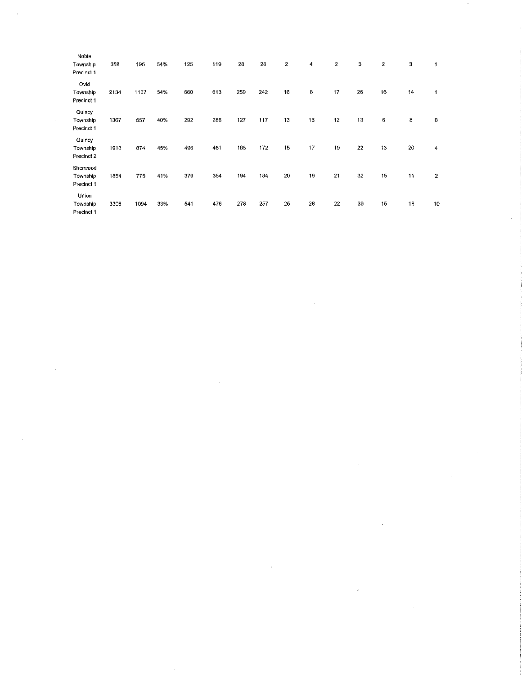| Noble<br>Township<br>Precinct 1    | 358  | 195  | 54% | 125 | 119 | 28  | 28  | $\mathbf{2}$ | 4  | $\overline{2}$ | 3  | $\mathbf{2}$ | 3  | 1                |
|------------------------------------|------|------|-----|-----|-----|-----|-----|--------------|----|----------------|----|--------------|----|------------------|
| Ovid<br>Township<br>Precinct 1     | 2134 | 1167 | 54% | 660 | 613 | 259 | 242 | 16           | 8  | 17             | 26 | 16           | 14 | 1                |
| Quincy<br>Township<br>Precinct 1   | 1367 | 557  | 40% | 292 | 286 | 127 | 117 | 13           | 16 | 12             | 13 | 6            | 8  | 0                |
| Quincy<br>Township<br>Precinct 2   | 1913 | 874  | 45% | 496 | 461 | 185 | 172 | 15           | 17 | 19             | 22 | 13           | 20 | 4                |
| Sherwood<br>Township<br>Precinct 1 | 1854 | 775  | 41% | 379 | 354 | 194 | 184 | 20           | 19 | 21             | 32 | 15           | 11 | $\boldsymbol{2}$ |
| Union<br>Township<br>Precinct 1    | 3308 | 1094 | 33% | 541 | 476 | 278 | 257 | 25           | 28 | 22             | 39 | 15           | 18 | 10               |

 $\mathcal{L}^{\text{max}}_{\text{max}}$  , where  $\mathcal{L}^{\text{max}}_{\text{max}}$ 

 $\label{eq:2.1} \frac{1}{\sqrt{2}}\left(\frac{1}{\sqrt{2}}\right)^2\left(\frac{1}{\sqrt{2}}\right)^2\left(\frac{1}{\sqrt{2}}\right)^2\left(\frac{1}{\sqrt{2}}\right)^2\left(\frac{1}{\sqrt{2}}\right)^2.$ 

 $\label{eq:2.1} \frac{1}{\sqrt{2}}\int_{\mathbb{R}^3}\frac{1}{\sqrt{2}}\left(\frac{1}{\sqrt{2}}\right)^2\frac{1}{\sqrt{2}}\left(\frac{1}{\sqrt{2}}\right)^2\frac{1}{\sqrt{2}}\left(\frac{1}{\sqrt{2}}\right)^2\frac{1}{\sqrt{2}}\left(\frac{1}{\sqrt{2}}\right)^2\frac{1}{\sqrt{2}}\left(\frac{1}{\sqrt{2}}\right)^2\frac{1}{\sqrt{2}}\frac{1}{\sqrt{2}}\frac{1}{\sqrt{2}}\frac{1}{\sqrt{2}}\frac{1}{\sqrt{2}}\frac{1}{\sqrt{2}}$ 

 $\label{eq:2.1} \mathcal{L}(\mathcal{L}(\mathcal{L})) = \mathcal{L}(\mathcal{L}(\mathcal{L})) = \mathcal{L}(\mathcal{L}(\mathcal{L})) = \mathcal{L}(\mathcal{L}(\mathcal{L})) = \mathcal{L}(\mathcal{L}(\mathcal{L})) = \mathcal{L}(\mathcal{L}(\mathcal{L})) = \mathcal{L}(\mathcal{L}(\mathcal{L})) = \mathcal{L}(\mathcal{L}(\mathcal{L})) = \mathcal{L}(\mathcal{L}(\mathcal{L})) = \mathcal{L}(\mathcal{L}(\mathcal{L})) = \mathcal{L}(\mathcal{L}(\mathcal{L})) = \math$ 

 $\mathcal{L}^{\text{max}}_{\text{max}}$  , where  $\mathcal{L}^{\text{max}}_{\text{max}}$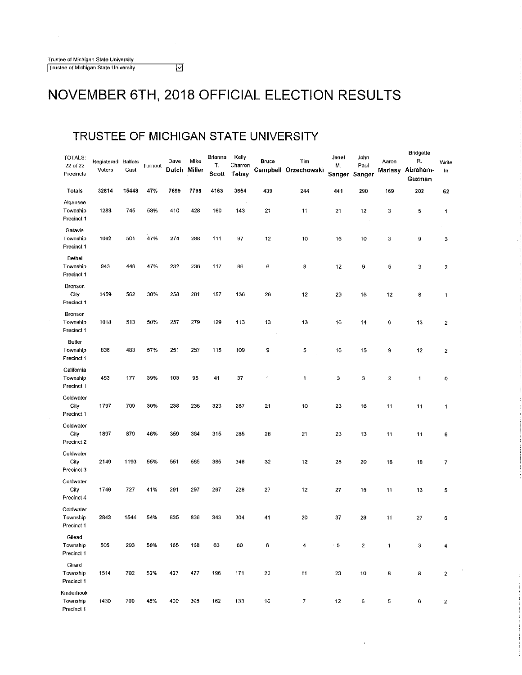#### **TRUSTEE OF MICHIGAN STATE UNIVERSITY**

ॼ

| TOTALS:<br>22 of 22<br>Precincts     | Registered Ballots<br>Voters | Cast  | Turnout | Dave<br>Dutch Miller | Mike | Brianna<br>Т.<br>Scott | Kelly<br>Charron<br>Tebay | <b>Bruce</b> | Tim<br>Campbell Orzechowski | Janet<br>М.<br>Sanger | John<br>Paul<br>Sanger | Aaron  | Bridgette<br>R.<br>Mariasy Abraham-<br>Guzman | Write<br>In             |
|--------------------------------------|------------------------------|-------|---------|----------------------|------|------------------------|---------------------------|--------------|-----------------------------|-----------------------|------------------------|--------|-----------------------------------------------|-------------------------|
| Totals                               | 32814                        | 15448 | 47%     | 7699                 | 7796 | 4163                   | 3654                      | 439          | 244                         | 441                   | 290                    | 169    | 202                                           | 62                      |
| Algansee<br>Township<br>Precinct 1   | 1283                         | 745   | 58%     | 410                  | 428  | 160                    | 143                       | 21           | 11                          | 21                    | 12                     | 3      | 5                                             | 1                       |
| Batavia<br>Township<br>Precinct 1    | 1062                         | 501   | 47%     | 274                  | 288  | 111                    | 97                        | 12           | 10                          | 16                    | 10                     | 3      | 9                                             | 3                       |
| Bethel<br>Township<br>Precinct 1     | 943                          | 446   | 47%     | 232                  | 236  | 117                    | 86                        | 6            | 8                           | 12                    | 9                      | 5      | 3                                             | $\boldsymbol{2}$        |
| Bronson<br>City<br>Precinct 1        | 1459                         | 562   | 38%     | 258                  | 281  | 157                    | 136                       | 26           | 12                          | 29                    | 16                     | 12     | 8                                             | 1                       |
| Bronson<br>Township<br>Precinct 1    | 1018                         | 513   | 50%     | 257                  | 279  | 129                    | 113                       | 13           | 13                          | 16                    | 14                     | 6      | 13                                            | $\overline{\mathbf{2}}$ |
| Butler<br>Township<br>Precinct 1     | 836                          | 483   | 57%     | 251                  | 257  | 115                    | 109                       | 9            | 5                           | 16                    | 15                     | 9      | 12                                            | $\overline{2}$          |
| California<br>Township<br>Precinct 1 | 453                          | 177   | 39%     | 103                  | 95   | 41                     | 37                        | $\mathbf{1}$ | 1                           | 3                     | 3                      | 2      | 1                                             | 0                       |
| Coldwater<br>City<br>Precinct 1      | 1797                         | 709   | 39%     | 238                  | 236  | 323                    | 287                       | 21           | 10                          | 23                    | 16                     | 11     | 11                                            | 1                       |
| Coldwater<br>City<br>Precinct 2      | 1897                         | 879   | 46%     | 359                  | 364  | 315                    | 285                       | 28           | 21                          | 23                    | 13                     | 11     | 11                                            | 6                       |
| Coldwater<br>City<br>Precinct 3      | 2149                         | 1193  | 55%     | 551                  | 565  | 385                    | 346                       | 32           | 12                          | 25                    | 20                     | 16     | 18                                            | 7                       |
| Coldwater<br>City<br>Precinct 4      | 1746                         | 727   | 41%     | 291                  | 297  | 267                    | 228                       | 27           | 12                          | 27                    | 15                     | 11     | 13                                            | 5                       |
| Coldwater<br>Township<br>Precinct 1  | 2843                         | 1544  | 54%     | 835                  | 836  | 343                    | 304                       | 41           | 20                          | 37                    | 28                     | 11     | 27                                            | 6                       |
| Gilead<br>Township<br>Precinct 1     | 505                          | 293   | 58%     | 165                  | 168  | 63                     | 60                        | 6            | 4                           | $^{\circ}$ 5          | $\boldsymbol{2}$       | 1      | 3                                             | 4                       |
| Girard<br>Township<br>Precinct 1     | 1514                         | 792   | 52%     | 427                  | 427  | 196                    | 171                       | 20           | 11                          | 23                    | 10                     | ×<br>8 | 8                                             | $\boldsymbol{2}$        |
| Kinderhook<br>Township<br>Precinct 1 | 1430                         | 700   | 48%     | 400                  | 395  | 162                    | 133                       | 16           | 7                           | 12                    | 6                      | 5      | 6                                             | 2                       |

 $\ddot{\phantom{1}}$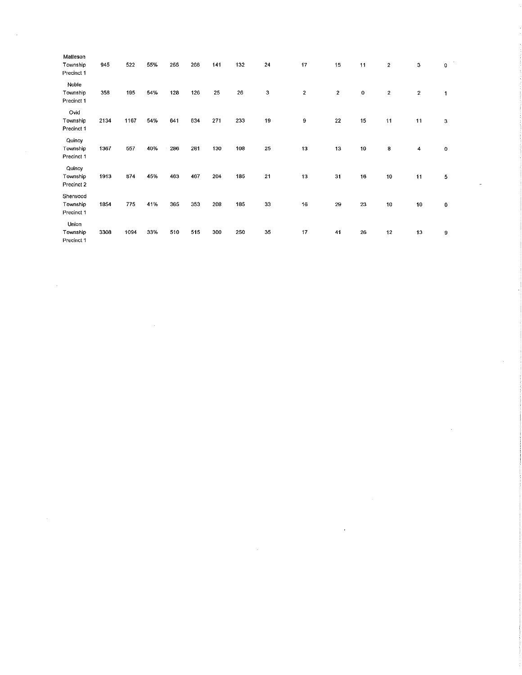| Matteson<br>Township<br>Precinct 1 | 945  | 522  | 55% | 255 | 268 | 141 | 132 | 24             | 17 | 15      | 11 | 2                | з                | $\overline{\phantom{a}}$<br>$\mathbf 0$ |
|------------------------------------|------|------|-----|-----|-----|-----|-----|----------------|----|---------|----|------------------|------------------|-----------------------------------------|
| Noble<br>Township<br>Precinct 1    | 358  | 195  | 54% | 128 | 126 | 25  | 26  | 3              | 2  | $\bf 2$ | 0  | $\boldsymbol{2}$ | $\boldsymbol{2}$ | 1                                       |
| Ovid<br>Township<br>Precinct 1     | 2134 | 1167 | 54% | 641 | 634 | 271 | 233 | 19             | 9  | 22      | 15 | 11               | 11               | 3                                       |
| Quincy<br>Township<br>Precinct 1   | 1367 | 557  | 40% | 286 | 281 | 130 | 108 | 25             | 13 | 13      | 10 | 8                | 4                | $\mathbf 0$                             |
| Ouincy<br>Township<br>Precinct 2   | 1913 | 874  | 45% | 463 | 467 | 204 | 185 | 2 <sub>1</sub> | 13 | 31      | 16 | 10               | 11               | 5                                       |
| Sherwood<br>Township<br>Precinct 1 | 1854 | 775  | 41% | 365 | 353 | 208 | 185 | 33             | 16 | 29      | 23 | 10               | 10               | $\bf{0}$                                |
| Union<br>Township<br>Precinct 1    | 3308 | 1094 | 33% | 510 | 515 | 300 | 250 | 35             | 17 | 41      | 26 | 12               | 13               | 9                                       |

 $\label{eq:2.1} \frac{1}{\sqrt{2}}\left(\frac{1}{\sqrt{2}}\right)^{2} \left(\frac{1}{\sqrt{2}}\right)^{2} \left(\frac{1}{\sqrt{2}}\right)^{2} \left(\frac{1}{\sqrt{2}}\right)^{2} \left(\frac{1}{\sqrt{2}}\right)^{2} \left(\frac{1}{\sqrt{2}}\right)^{2} \left(\frac{1}{\sqrt{2}}\right)^{2} \left(\frac{1}{\sqrt{2}}\right)^{2} \left(\frac{1}{\sqrt{2}}\right)^{2} \left(\frac{1}{\sqrt{2}}\right)^{2} \left(\frac{1}{\sqrt{2}}\right)^{2} \left(\$ 

 $\Delta \sim 1$ 

 $\sim$ 

 $\label{eq:2.1} \frac{1}{\sqrt{2\pi}}\int_{\mathbb{R}^3}\frac{d\mu}{\sqrt{2\pi}}\left(\frac{d\mu}{\mu}\right)^2\frac{d\mu}{\mu}\left(\frac{d\mu}{\mu}\right)^2\frac{d\mu}{\mu}\left(\frac{d\mu}{\mu}\right)^2.$ 

 $\label{eq:2.1} \frac{1}{\sqrt{2}}\int_{\mathbb{R}^3}\frac{1}{\sqrt{2}}\left(\frac{1}{\sqrt{2}}\right)^2\left(\frac{1}{\sqrt{2}}\right)^2\left(\frac{1}{\sqrt{2}}\right)^2\left(\frac{1}{\sqrt{2}}\right)^2\left(\frac{1}{\sqrt{2}}\right)^2\left(\frac{1}{\sqrt{2}}\right)^2.$ 

 $\mathcal{A}^{\text{max}}_{\text{max}}$ 

 $\label{eq:2.1} \frac{1}{\sqrt{2}}\int_{\mathbb{R}^3}\frac{1}{\sqrt{2}}\left(\frac{1}{\sqrt{2}}\right)^2\frac{1}{\sqrt{2}}\left(\frac{1}{\sqrt{2}}\right)^2\frac{1}{\sqrt{2}}\left(\frac{1}{\sqrt{2}}\right)^2\frac{1}{\sqrt{2}}\left(\frac{1}{\sqrt{2}}\right)^2.$ 

 $\label{eq:2.1} \frac{1}{\sqrt{2}}\int_{\mathbb{R}^3}\frac{1}{\sqrt{2}}\left(\frac{1}{\sqrt{2}}\right)^2\frac{1}{\sqrt{2}}\left(\frac{1}{\sqrt{2}}\right)^2\frac{1}{\sqrt{2}}\left(\frac{1}{\sqrt{2}}\right)^2\frac{1}{\sqrt{2}}\left(\frac{1}{\sqrt{2}}\right)^2.$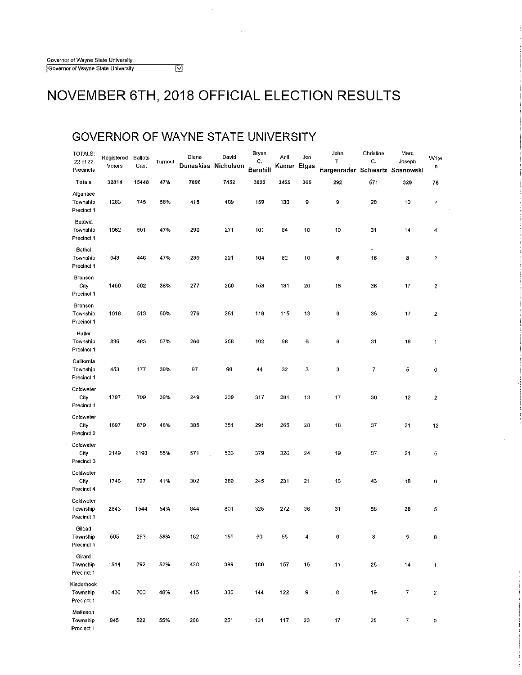### **GOVERNOR OF WAYNE STATE UNIVERSITY**

 $\overline{\boxtimes}$ 

| TOTALS:<br>22 of 22<br>Precincts     | Registered<br>Voters | Ballots<br>Cast | Turnout | Diane<br>Dunaskiss Nicholson | David | Bryan<br>C.<br>Barnhill | Anil<br>Kumar Elgas | Jon | John<br>T.<br>Hargenrader Schwartz Sosnowski | Christine<br>C. | Marc<br>Joseph   | Write<br>In      |
|--------------------------------------|----------------------|-----------------|---------|------------------------------|-------|-------------------------|---------------------|-----|----------------------------------------------|-----------------|------------------|------------------|
| Totals                               | 32814                | 15448           | 47%     | 7896                         | 7452  | 3922                    | 3429                | 365 | 292                                          | 671             | 320              | 75               |
| Algansee<br>Township<br>Precinct 1   | 1283                 | 745             | 58%     | 415                          | 409   | 159                     | 130                 | 9   | 9                                            | 28              | 10               | $\boldsymbol{2}$ |
| Batavia<br>Township<br>Precinct 1    | 1062                 | 501             | 47%     | 290                          | 271   | 101                     | 84                  | 10  | 10                                           | 31              | 14               | 4                |
| Bethel<br>Township<br>Precinct 1     | 943                  | 446             | 47%     | 239<br>$\sim$                | 221   | 104                     | 82                  | 10  | 6                                            | L.<br>16        | 8                | 2                |
| <b>Bronson</b><br>City<br>Precinct 1 | 1459                 | 562             | 38%     | 277                          | 269   | 153                     | 131                 | 20  | 16                                           | 36              | 17               | $\boldsymbol{2}$ |
| Bronson<br>Township<br>Precinct 1    | 1018                 | 513             | 50%     | 276                          | 251   | 116                     | 115                 | 13  | 9                                            | 35              | 17               | 2                |
| Butler<br>Township<br>Precinct 1     | 836                  | 483             | 57%     | 260                          | 258   | 102                     | 98                  | 6   | 6                                            | 31              | 16               | $\mathbf{1}$     |
| California<br>Township<br>Precinct 1 | 453                  | 177             | 39%     | 97                           | 90    | 44                      | 32                  | 3   | 3                                            | 7               | 5                | 0                |
| Coldwater<br>City<br>Precinct 1      | 1797                 | 709             | 39%     | 249                          | 239   | 317                     | 281                 | 13  | 17                                           | 30              | 12               | 2                |
| Coldwater<br>City<br>Precinct 2      | 1897                 | 879             | 46%     | 385                          | 351   | 291                     | 265                 | 28  | 18                                           | 37              | 21               | 12               |
| Coldwater<br>City<br>Precinct 3      | 2149                 | 1193            | 55%     | 571                          | 533   | 379                     | 326                 | 24  | 19                                           | 37              | 21               | 5                |
| Coldwater<br>City<br>Precinct 4      | 1746                 | 727             | 41%     | 302                          | 289   | 245                     | 231                 | 21  | 16                                           | 43              | 18               | 6                |
| Coldwater<br>Township<br>Precinct 1  | 2843                 | 1544            | 54%     | 844                          | 801   | 325                     | 272                 | 36  | 31                                           | 58              | 28               | 5                |
| Gilead<br>Township<br>Precinct 1     | 505                  | 293             | 58%     | 162                          | 156   | $60\,$                  | 56                  | 4   | $\bf 6$                                      | 8               | 5                | 8                |
| Girard<br>Township<br>Precinct 1     | 1514                 | 792             | 52%     | 438                          | 399   | 189                     | 157                 | 15  | 11                                           | 25              | 14               | 1                |
| Kinderhook<br>Township<br>Precinct 1 | 1430                 | 700             | 48%     | 415                          | 385   | 144                     | 122                 | 9   | . 8                                          | 19              | 7                | 2                |
| Matteson<br>Township<br>Precinct 1   | 945                  | 522             | 55%     | 266                          | 251   | 131                     | 117                 | 23  | 17                                           | 25              | $\boldsymbol{7}$ | O                |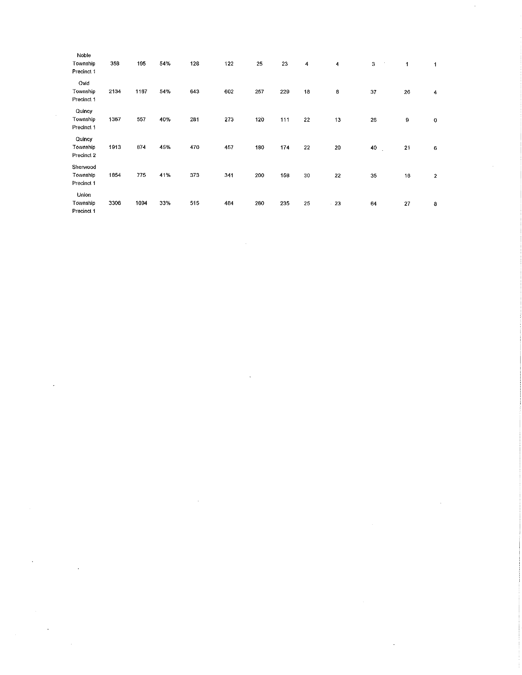|        | Noble<br>Township<br>Precinct 1    | 358  | 195  | 54% | 128 | 122 | 25  | 23  | 4  | 4     | 3<br>$\sim$  | 1  | 1              |
|--------|------------------------------------|------|------|-----|-----|-----|-----|-----|----|-------|--------------|----|----------------|
|        | Ovid<br>Township<br>Precinct 1     | 2134 | 1167 | 54% | 643 | 602 | 257 | 229 | 18 | 8     | 37           | 26 | $\overline{4}$ |
| $\sim$ | Quincy<br>Township<br>Precinct 1   | 1367 | 557  | 40% | 281 | 273 | 120 | 111 | 22 | 13    | 26           | 9  | $\mathbf 0$    |
|        | Quincy<br>Township<br>Precinct 2   | 1913 | 874  | 45% | 470 | 457 | 180 | 174 | 22 | 20    | 40<br>$\sim$ | 21 | 6              |
|        | Sherwood<br>Township<br>Precinct 1 | 1854 | 775  | 41% | 373 | 341 | 200 | 158 | 30 | 22    | 35           | 16 | $\mathbf{2}$   |
|        | Union<br>Township<br>Precinct 1    | 3308 | 1094 | 33% | 515 | 484 | 280 | 235 | 25 | $-23$ | 64           | 27 | 8              |

 $\label{eq:2.1} \frac{1}{\sqrt{2}}\int_{\mathbb{R}^3}\frac{1}{\sqrt{2}}\left(\frac{1}{\sqrt{2}}\right)^2\frac{1}{\sqrt{2}}\left(\frac{1}{\sqrt{2}}\right)^2\frac{1}{\sqrt{2}}\left(\frac{1}{\sqrt{2}}\right)^2\frac{1}{\sqrt{2}}\left(\frac{1}{\sqrt{2}}\right)^2.$ 

 $\label{eq:2.1} \frac{1}{\sqrt{2}}\int_{\mathbb{R}^3}\frac{1}{\sqrt{2}}\left(\frac{1}{\sqrt{2}}\int_{\mathbb{R}^3}\frac{1}{\sqrt{2}}\left(\frac{1}{\sqrt{2}}\int_{\mathbb{R}^3}\frac{1}{\sqrt{2}}\left(\frac{1}{\sqrt{2}}\int_{\mathbb{R}^3}\frac{1}{\sqrt{2}}\right)\frac{1}{\sqrt{2}}\right)\frac{1}{\sqrt{2}}\right)=\frac{1}{2}\int_{\mathbb{R}^3}\frac{1}{\sqrt{2}}\int_{\mathbb{R}^3}\frac{1}{\sqrt{2}}\frac{1}{\$ 

 $\label{eq:2.1} \mathcal{L}(\mathcal{L}(\mathcal{L}))=\mathcal{L}(\mathcal{L}(\mathcal{L}))=\mathcal{L}(\mathcal{L}(\mathcal{L}))=\mathcal{L}(\mathcal{L}(\mathcal{L}))=\mathcal{L}(\mathcal{L}(\mathcal{L}))$ 

 $\label{eq:2.1} \frac{1}{\sqrt{2}}\int_{\mathbb{R}^3} \frac{1}{\sqrt{2}}\left(\frac{1}{\sqrt{2}}\right)^2\frac{1}{\sqrt{2}}\left(\frac{1}{\sqrt{2}}\right)^2\frac{1}{\sqrt{2}}\left(\frac{1}{\sqrt{2}}\right)^2.$ 

 $\label{eq:2.1} \frac{1}{\sqrt{2}}\sum_{i=1}^n\frac{1}{\sqrt{2}}\sum_{i=1}^n\frac{1}{\sqrt{2}}\sum_{i=1}^n\frac{1}{\sqrt{2}}\sum_{i=1}^n\frac{1}{\sqrt{2}}\sum_{i=1}^n\frac{1}{\sqrt{2}}\sum_{i=1}^n\frac{1}{\sqrt{2}}\sum_{i=1}^n\frac{1}{\sqrt{2}}\sum_{i=1}^n\frac{1}{\sqrt{2}}\sum_{i=1}^n\frac{1}{\sqrt{2}}\sum_{i=1}^n\frac{1}{\sqrt{2}}\sum_{i=1}^n\frac$ 

 $\label{eq:2} \begin{split} \mathcal{L}_{\text{max}}(\mathbf{r}) = \mathcal{L}_{\text{max}}(\mathbf{r}) \mathcal{L}_{\text{max}}(\mathbf{r}) \end{split}$ 

 $\frac{1}{2}$ 

 $\mathcal{L}^{\text{max}}_{\text{max}}$  and  $\mathcal{L}^{\text{max}}_{\text{max}}$ 

 $\label{eq:2.1} \frac{1}{\sqrt{2}}\left(\frac{1}{\sqrt{2}}\right)^{2} \left(\frac{1}{\sqrt{2}}\right)^{2} \left(\frac{1}{\sqrt{2}}\right)^{2} \left(\frac{1}{\sqrt{2}}\right)^{2} \left(\frac{1}{\sqrt{2}}\right)^{2} \left(\frac{1}{\sqrt{2}}\right)^{2} \left(\frac{1}{\sqrt{2}}\right)^{2} \left(\frac{1}{\sqrt{2}}\right)^{2} \left(\frac{1}{\sqrt{2}}\right)^{2} \left(\frac{1}{\sqrt{2}}\right)^{2} \left(\frac{1}{\sqrt{2}}\right)^{2} \left(\$ 

 $\mathcal{L}^{\text{max}}_{\text{max}}$ 

 $\label{eq:2.1} \frac{1}{\sqrt{2}}\int_{\mathbb{R}^3}\frac{1}{\sqrt{2}}\left(\frac{1}{\sqrt{2}}\right)^2\frac{1}{\sqrt{2}}\left(\frac{1}{\sqrt{2}}\right)^2\frac{1}{\sqrt{2}}\left(\frac{1}{\sqrt{2}}\right)^2\frac{1}{\sqrt{2}}\left(\frac{1}{\sqrt{2}}\right)^2\frac{1}{\sqrt{2}}\left(\frac{1}{\sqrt{2}}\right)^2\frac{1}{\sqrt{2}}\frac{1}{\sqrt{2}}\frac{1}{\sqrt{2}}\frac{1}{\sqrt{2}}\frac{1}{\sqrt{2}}\frac{1}{\sqrt{2}}$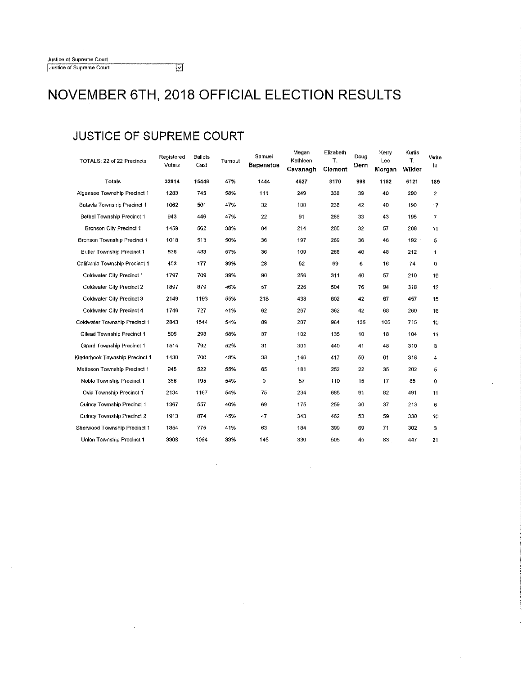### **JUSTICE OF SUPREME COURT**

| TOTALS: 22 of 22 Precincts         | Registered<br>Voters | Ballots<br>Cast | Turnout | Samuel<br><b>Bagenstos</b> | Megan<br>Kathleen<br>Cavanagh | Elizabeth<br>T.<br><b>Clement</b> | Doug<br>Dern | Kerry<br>Lee<br>Morgan | Kurtis<br>T.<br>Wilder | Write<br>In    |
|------------------------------------|----------------------|-----------------|---------|----------------------------|-------------------------------|-----------------------------------|--------------|------------------------|------------------------|----------------|
| <b>Totals</b>                      | 32814                | 15448           | 47%     | 1444                       | 4627                          | 8170                              | 998          | 1192                   | 6121                   | 189            |
| Algansee Township Precinct 1       | 1283                 | 745             | 58%     | 111                        | 249                           | 338                               | 39           | 40                     | 290                    | $\overline{c}$ |
| Batavia Township Precinct 1        | 1062                 | 501             | 47%     | 32                         | 188                           | 238                               | 42           | 40                     | 190                    | 17             |
| Bethel Township Precinct 1         | 943                  | 446             | 47%     | 22                         | 91                            | 266                               | 33           | 43                     | 195                    | 7              |
| Bronson City Precinct 1            | 1459                 | 562             | 38%     | 84                         | 214                           | 265                               | 32           | 57                     | 206                    | 11             |
| <b>Bronson Township Precinct 1</b> | 1018                 | 513             | 50%     | 36                         | 197                           | 269                               | 36           | 46                     | $192 -$                | 5              |
| <b>Butler Township Precinct 1</b>  | 836                  | 483             | 57%     | 36                         | 109                           | 288                               | 40           | 48                     | 212                    | 1              |
| California Township Precinct 1     | 453                  | 177             | 39%     | 28                         | 52                            | 99                                | 6            | 16                     | 74                     | 0              |
| Coldwater City Precinct 1          | 1797                 | 709             | 39%     | 90                         | 256                           | 311                               | 40           | 57                     | 210                    | 19             |
| Coldwater City Precinct 2          | 1897                 | 879             | 46%     | 57                         | 226                           | 504                               | 76           | 94                     | 318                    | 12             |
| Coldwater City Precinct 3          | 2149                 | 1193            | 55%     | 218                        | 438                           | 602                               | 42           | 67                     | 457                    | 15             |
| Coldwater City Precinct 4          | 1746                 | 727             | 41%     | 62                         | 267                           | 362                               | 42           | 68                     | 260                    | 16             |
| Coldwater Township Precinct 1      | 2843                 | 1544            | 54%     | 89                         | 287                           | 964                               | 135          | 105                    | 715                    | 10             |
| Gilead Township Precinct 1         | 505                  | 293             | 58%     | 37                         | 102                           | 135                               | 10           | 18                     | 104                    | 11             |
| Girard Township Precinct 1         | 1514                 | 792             | 52%     | 31                         | 301                           | 440                               | 41           | 48                     | 310                    | з              |
| Kinderhook Township Precinct 1     | 1430                 | 700             | 48%     | 38                         | 146                           | 417                               | 59           | 61                     | 318                    | 4              |
| Matteson Township Precinct 1       | 945                  | 522             | 55%     | 65                         | 181                           | 252                               | 22           | 35                     | 202                    | 5              |
| Noble Township Precinct 1          | 358                  | 195             | 54%     | 9                          | 57                            | 110                               | 15           | 17                     | 85                     | 0              |
| Ovid Township Precinct 1           | 2134                 | 1167            | 54%     | 75                         | 234                           | 685                               | 91           | 82                     | 491                    | 11             |
| Quincy Township Precinct 1         | 1367                 | 557             | 40%     | 69                         | 175                           | 259                               | 30           | 37                     | 213                    | 6              |
| Quincy Township Precinct 2         | 1913                 | 874             | 45%     | 47                         | 343                           | 462                               | 53           | 59                     | 330                    | 10             |
| Sherwood Township Precinct 1       | 1854                 | 775             | 41%     | 63                         | 184                           | 399                               | 69           | 71                     | 302                    | 3              |
| Union Township Precinct 1          | 3308                 | 1094            | 33%     | 145                        | 330                           | 505                               | 45           | 83                     | 447                    | 21             |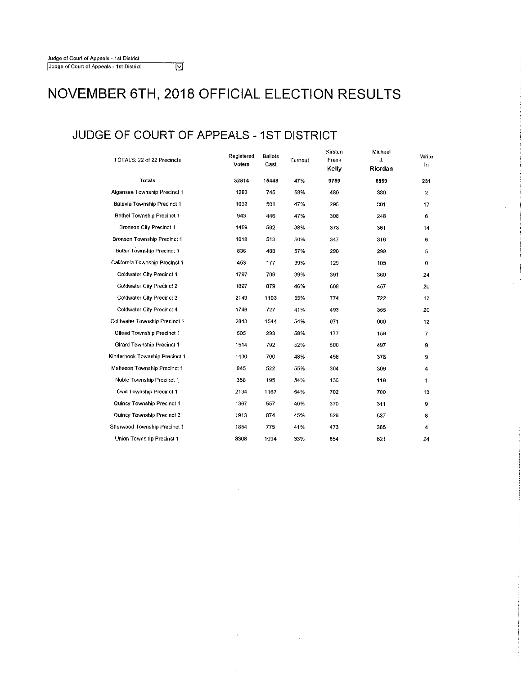### **JUDGE OF COURT OF APPEALS -1ST DISTRICT**

 $\overline{\triangledown}$ 

| TOTALS: 22 of 22 Precincts        | Registered<br>Voters | <b>Ballots</b><br>Cast | Turnout | Kirsten<br>Frank<br>Kelly | Michael<br>J.<br>Riordan | Write<br>In  |
|-----------------------------------|----------------------|------------------------|---------|---------------------------|--------------------------|--------------|
| Totals                            | 32814                | 15448                  | 47%     | 9759                      | 8859                     | 231          |
| Algansee Township Precinct 1      | 1283                 | 745                    | 58%     | 480                       | 380                      | $\mathbf{2}$ |
| Batavia Township Precinct 1       | 1062                 | 501                    | 47%     | 295                       | 301                      | 17           |
| <b>Bethel Township Precinct 1</b> | 943                  | 446                    | 47%     | 308                       | 248                      | 6            |
| Bronson City Precinct 1           | 1459                 | 562                    | 38%     | 373                       | 361                      | 14           |
| Bronson Township Precinct 1       | 1018                 | 513                    | 50%     | 347                       | 316                      | 6            |
| Butler Township Precinct 1        | 836                  | 483                    | 57%     | 290                       | 299                      | 5            |
| California Township Precinct 1    | 453                  | 177                    | 39%     | 129                       | 105                      | 0            |
| Coldwater City Precinct 1         | 1797                 | 709                    | 39%     | 391                       | 360                      | 24           |
| Coldwater City Precinct 2         | 1897                 | 879                    | 46%     | 608                       | 457                      | 20           |
| Coldwater City Precinct 3         | 2149                 | 1193                   | 55%     | 774                       | 722                      | 17           |
| Coldwater City Precinct 4         | 1746                 | 727                    | 41%     | 493                       | 355                      | 20           |
| Coldwater Township Precinct 1     | 2843                 | 1544                   | 54%     | 971                       | 960                      | 12           |
| <b>Gilead Township Precinct 1</b> | 505                  | 293                    | 58%     | 177                       | 159                      | 7            |
| Girard Township Precinct 1        | 1514                 | 792                    | 52%     | 500                       | 497                      | 9            |
| Kinderhook Township Precinct 1    | 1430                 | 700                    | 48%     | 458                       | 378                      | 9            |
| Matteson Township Precinct 1      | 945                  | 522                    | 55%     | 304                       | 309                      | 4            |
| Noble Township Precinct 1         | 358                  | 195                    | 54%     | 136                       | 118                      | 1            |
| Ovid Township Precinct 1          | 2134                 | 1167                   | 54%     | 702                       | 700                      | 13           |
| Quincy Township Precinct 1        | 1367                 | 557                    | 40%     | 370                       | 311                      | 9            |
| Quincy Township Precinct 2        | 1913                 | 874                    | 45%     | 526                       | 537                      | 8            |
| Sherwood Township Precinct 1      | 1854                 | 775                    | 41%     | 473                       | 365                      | 4            |
| Union Township Precinct 1         | 3308                 | 1094                   | 33%     | 654                       | 621                      | 24           |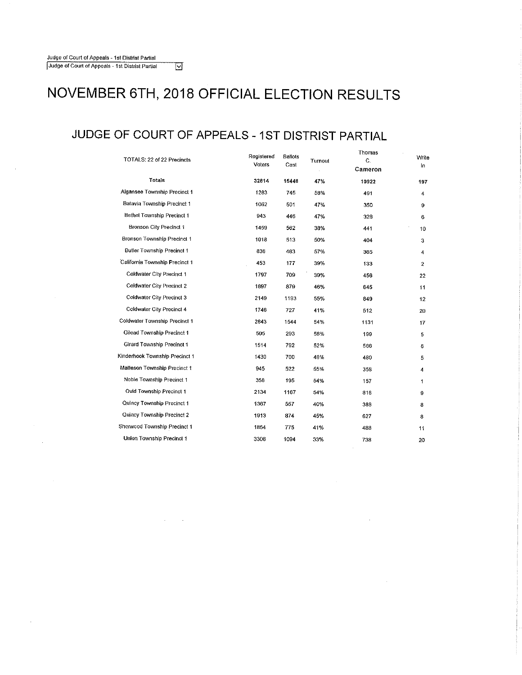$\bar{z}$ 

 $\alpha$ 

### **NOVEMBER 6TH, 2018 OFFICIAL ELECTION RESULTS**

### **JUDGE OF COURT OF APPEALS** - **1 ST DISTRIST PARTIAL**

 $\sim 10^{11}$  km s  $^{-1}$  km

| TOTALS: 22 of 22 Precincts     | Registered<br>Voters | <b>Ballots</b><br>Cast | Turnout | Thomas<br>C.<br>Cameron | Write<br>In |
|--------------------------------|----------------------|------------------------|---------|-------------------------|-------------|
| Totals                         | 32814                | 15448                  | 47%     | 10922                   | 197         |
| Algansee Township Precinct 1   | 1283                 | 745                    | 58%     | 491                     | 4           |
| Batavia Township Precinct 1    | 1062                 | 501                    | 47%     | 350                     | 9           |
| Bethel Township Precinct 1     | 943                  | 446                    | 47%     | 328                     | 6           |
| <b>Bronson City Precinct 1</b> | 1459                 | 562                    | 38%     | 441                     | 10          |
| Bronson Township Precinct 1    | 1018                 | 513                    | 50%     | 404                     | з           |
| Butler Township Precinct 1     | 836                  | 483                    | 57%     | 365                     | 4           |
| California Township Precinct 1 | 453                  | 177                    | 39%     | 133                     | 2           |
| Coldwater City Precinct 1      | 1797                 | 709                    | 39%     | 456                     | 22          |
| Coldwater City Precinct 2      | 1897                 | 879                    | 46%     | 645                     | 11          |
| Coldwater City Precinct 3      | 2149                 | 1193                   | 55%     | 849                     | 12          |
| Coldwater City Precinct 4      | 1746                 | 727                    | 41%     | 512                     | 20          |
| Coldwater Township Precinct 1  | 2843                 | 1544                   | 54%     | 1131                    | 17          |
| Gilead Township Precinct 1     | 505                  | 293                    | 58%     | 199                     | 5           |
| Girard Township Precinct 1     | 1514                 | 792                    | 52%     | 566                     | 6           |
| Kinderhook Township Precinct 1 | 1430                 | 700                    | 48%     | 480                     | 5           |
| Malteson Township Precinct 1   | 945                  | 522                    | 55%     | 358                     | 4           |
| Noble Township Precinct 1      | 358                  | 195                    | 54%     | 157                     | 1           |
| Ovid Township Precinct 1       | 2134                 | 1167                   | 54%     | 816                     | 9           |
| Quincy Township Precinct 1     | 1367                 | 557                    | 40%     | 388                     | 8           |
| Quincy Township Precinct 2     | 1913                 | 874                    | 45%     | 627                     | 8           |
| Sherwood Township Precinct 1   | 1854                 | 775                    | 41%     | 488                     | 11          |
| Union Township Precinct 1      | 3308                 | 1094                   | 33%     | 738                     | 20          |

 $\sim$ 

 $\sim$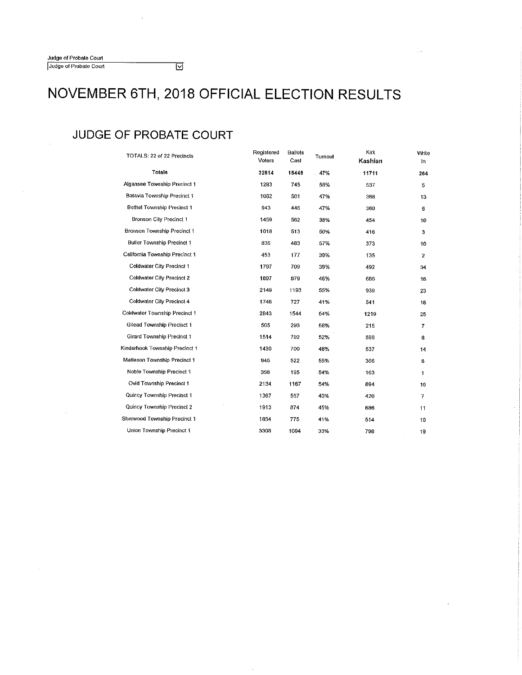### **JUDGE OF PROBATE COURT**

| TOTALS: 22 of 22 Precincts        | Registered<br>Voters | <b>Ballots</b><br>Cast | Turnout | Kirk<br>Kashian | Write<br>in.   |
|-----------------------------------|----------------------|------------------------|---------|-----------------|----------------|
| <b>Totals</b>                     | 32814                | 15448                  | 47%     | 11711           | 264            |
| Algansee Township Precinct 1      | 1283                 | 745                    | 58%     | 537             | 5              |
| Batavia Township Precinct 1       | 1062                 | 501                    | 47%     | 368             | 13             |
| Bethel Township Precinct 1        | 943                  | 446                    | 47%     | 360             | 6              |
| Bronson City Precinct 1           | 1459                 | 562                    | 38%     | 454             | 10             |
| Bronson Township Precinct 1       | 1018                 | 513                    | 50%     | 416             | 3              |
| <b>Butler Township Precinct 1</b> | 836                  | 483                    | 57%     | 373             | 10             |
| California Township Precinct 1    | 453                  | 177                    | 39%     | 135             | $\overline{2}$ |
| <b>Coldwater City Precinct 1</b>  | 1797                 | 709                    | 39%     | 492             | 34             |
| Coldwater City Precinct 2         | 1897                 | 879                    | 46%     | 686             | 16             |
| Coldwater City Precinct 3         | 2149                 | 1193                   | 55%     | 939             | 23             |
| Coldwater City Precinct 4         | 1746                 | 727                    | 41%     | 541             | 18             |
| Coldwater Township Precinct 1     | 2843                 | 1544                   | 64%     | 1219            | 25             |
| Gilead Township Precinct 1        | 505                  | 293                    | 58%     | 215             | 7              |
| Girard Township Precinct 1        | 1514                 | 792                    | 52%     | 598             | 8              |
| Kinderhook Township Precinct 1    | 1430                 | 700                    | 48%     | 537             | 14             |
| Matteson Township Precinct 1      | 945                  | 522                    | 55%     | 366             | 6              |
| Noble Township Precinct 1         | 358                  | 195                    | 54%     | 163             | 1              |
| Ovid Township Precinct 1          | 2134                 | 1167                   | 54%     | 894             | 16             |
| Quincy Township Precinct 1        | 1367                 | 557                    | 40%     | 420             | 7              |
| Quincy Township Precinct 2        | 1913                 | 874                    | 45%     | 686             | 11             |
| Sherwood Township Precinct 1      | 1854                 | 775                    | 41%     | 514             | 10             |
| Union Township Precinct 1         | 3308                 | 1094                   | 33%     | 798             | 19             |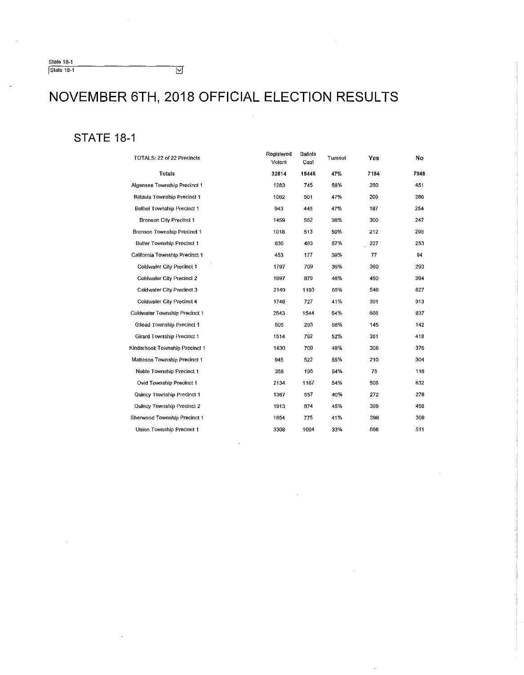$\overline{\mathbb{M}}$ 

### **STATE 18-1**

| TOTALS: 22 of 22 Precincts        | Registered<br>Voters | Ballots<br>Cast | Tumout | Yes  | No   |
|-----------------------------------|----------------------|-----------------|--------|------|------|
| Totals                            | 32814                | 15448           | 47%    | 7154 | 7948 |
| Algansee Township Precinct 1      | 1283                 | 745             | 58%    | 280  | 451  |
| Batavia Township Precinct 1       | 1062                 | 501             | 47%    | 209  | 286  |
| <b>Bethel Township Precinct 1</b> | 943                  | 446             | 47%    | 187  | 254  |
| Bronson City Precinct 1           | 1459                 | 562             | 38%    | 300  | 247  |
| Bronson Township Precinct 1       | 1018                 | 513             | 50%    | 212  | 295  |
| Butler Township Precinct 1        | 836                  | 483             | 57%    | 227  | 253  |
| California Township Precinct 1    | 453                  | 177             | 39%    | 77   | 94   |
| Coldwater City Precinct 1         | 1797                 | 709             | 39%    | 360  | 293  |
| Coldwater City Precinct 2         | 1897                 | 879             | 46%    | 460  | 394  |
| Coldwater City Precinct 3         | 2149                 | 1193            | 55%    | 546  | 627  |
| Coldwater City Precinct 4         | 1746                 | 727             | 41%    | 391  | 313  |
| Coldwater Township Precinct 1     | 2843                 | 1544            | 54%    | 666  | 837  |
| Gilead Township Precinct 1        | 505                  | 293             | 58%    | 145  | 142  |
| Girard Township Precinct 1        | 1514                 | 792             | 52%    | 361  | 418  |
| Kinderhook Township Precinct 1    | 1430                 | 700             | 48%    | 306  | 376  |
| Matteson Township Precinct 1      | 945                  | 522             | 55%    | 210  | 304  |
| Noble Township Precinct 1         | 358                  | 195             | 54%    | 75   | 116  |
| Ovid Township Precinct 1          | 2134                 | 1167            | 54%    | 506  | 632  |
| Quincy Township Precinct 1        | 1367                 | 557             | 40%    | 272  | 278  |
| Quincy Township Precinct 2        | 1913                 | 874             | 45%    | 399  | 458  |
| Sherwood Township Precinct 1      | 1854                 | 775             | 41%    | 399  | 369  |
| Union Township Precinct 1         | 3308                 | 1094            | 33%    | 566  | 511  |
|                                   |                      |                 |        |      |      |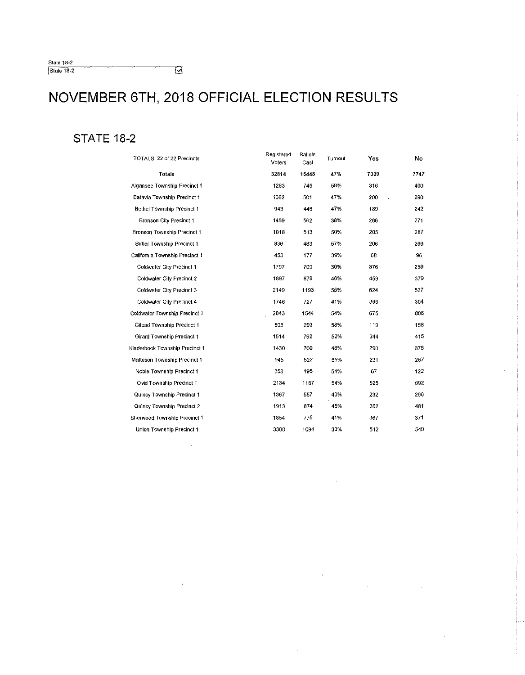$\overline{\Xi}$ 

 $\bar{\phantom{a}}$ 

#### **STATE 18-2**

| TOTALS: 22 of 22 Precincts        | Registered<br>Voters | <b>Ballots</b><br>Cast | Turnout                            | Yes  | No   |
|-----------------------------------|----------------------|------------------------|------------------------------------|------|------|
| <b>Totals</b>                     | 32814                | 15448                  | 47%                                | 7029 | 7747 |
| Algansee Township Precinct 1      | 1283                 | 745                    | 58%                                | 316  | 400  |
| Batavia Township Precinct 1       | 1062                 | 501                    | 47%                                | 200  | 290  |
| Bethel Township Precinct 1        | 943                  | 446                    | 47%                                | 189  | 242  |
| Bronson City Precinct 1           | 1459                 | 562                    | 38%                                | 266  | 271  |
| Bronson Township Precinct 1       | 1018                 | 513                    | 50%                                | 205  | 287  |
| <b>Butler Township Precinct 1</b> | 836                  | 483                    | 57%                                | 206  | 269  |
| California Township Precinct 1    | 453                  | 177                    | 39%                                | 68   | 96   |
| Coldwater City Precinct 1         | 1797                 | 709                    | 39%                                | 376  | 259  |
| Coldwater City Precinct 2         | 1897                 | 879                    | 46%                                | 459  | 379  |
| Coldwater City Precinct 3         | 2149                 | 1193                   | 55%                                | 624  | 527  |
| Coldwater City Precinct 4         | 1746                 | 727                    | 41%                                | 396  | 304  |
| Coldwater Township Precinct 1     | 2843                 | 1544                   | 54%<br>$\hat{\boldsymbol{\theta}}$ | 675  | 306  |
| Gilead Township Precinct 1        | 505                  | 293                    | 58%                                | 119  | 158  |
| Girard Township Precinct 1        | 1514                 | 792                    | 52%                                | 344  | 415  |
| Kinderhook Township Precinct 1    | 1430                 | 700                    | 48%                                | 290  | 375  |
| Matteson Township Precinct 1      | 945                  | 522                    | 55%                                | 231  | 267  |
| Noble Township Precinct 1         | 358                  | 195                    | 54%                                | 67   | 122  |
| Ovid Township Precinct 1          | 2134                 | 1167                   | 54%                                | 525  | 592  |
| Quincy Township Precinct 1        | 1367                 | 557                    | 40%                                | 232  | 296  |
| Quincy Township Precinct 2        | 1913                 | 874                    | 45%                                | 362  | 481  |
| Sherwood Township Precinct 1      | 1854                 | 775                    | 41%                                | 367  | 371  |
| Union Township Precinct 1         | 3308                 | 1094                   | 33%                                | 512  | 540  |

 $\bar{\alpha}$